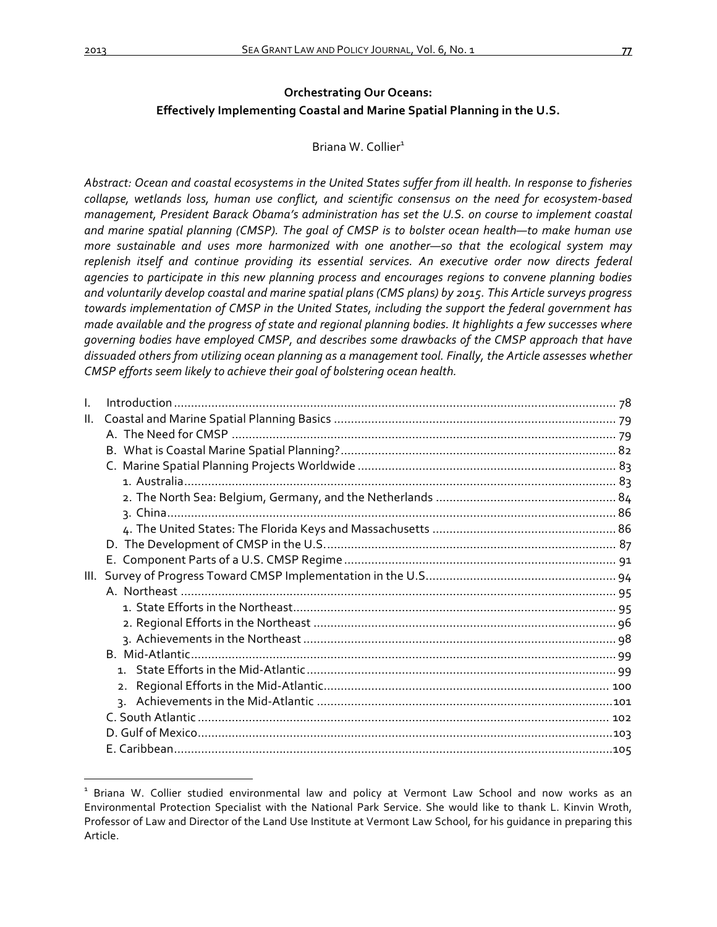# **Orchestrating Our Oceans: Effectively Implementing Coastal and Marine Spatial Planning in the U.S.**

# Briana W. Collier<sup>1</sup>

Abstract: Ocean and coastal ecosystems in the United States suffer from ill health. In response to fisheries collapse, wetlands loss, human use conflict, and scientific consensus on the need for ecosystem-based *management, President Barack Obama's administration has set the U.S. on course to implement coastal* and marine spatial planning (CMSP). The goal of CMSP is to bolster ocean health—to make human use *more sustainable and uses more harmonized with one another—so that the ecological system may* replenish itself and continue providing its essential services. An executive order now directs federal *agencies to participate in this new planning process and encourages regions to convene planning bodies* and voluntarily develop coastal and marine spatial plans (CMS plans) by 2015. This Article surveys progress *towards* implementation of CMSP in the United States, including the support the federal government has made available and the progress of state and regional planning bodies. It highlights a few successes where governing bodies have employed CMSP, and describes some drawbacks of the CMSP approach that have dissuaded others from utilizing ocean planning as a management tool. Finally, the Article assesses whether *CMSP* efforts seem likely to achieve their goal of bolstering ocean health.

| T. |  |
|----|--|
| Ш. |  |
|    |  |
|    |  |
|    |  |
|    |  |
|    |  |
|    |  |
|    |  |
|    |  |
|    |  |
|    |  |
|    |  |
|    |  |
|    |  |
|    |  |
|    |  |
|    |  |
|    |  |
|    |  |
|    |  |
|    |  |
|    |  |

Briana W. Collier studied environmental law and policy at Vermont Law School and now works as an Environmental Protection Specialist with the National Park Service. She would like to thank L. Kinvin Wroth, Professor of Law and Director of the Land Use Institute at Vermont Law School, for his quidance in preparing this Article.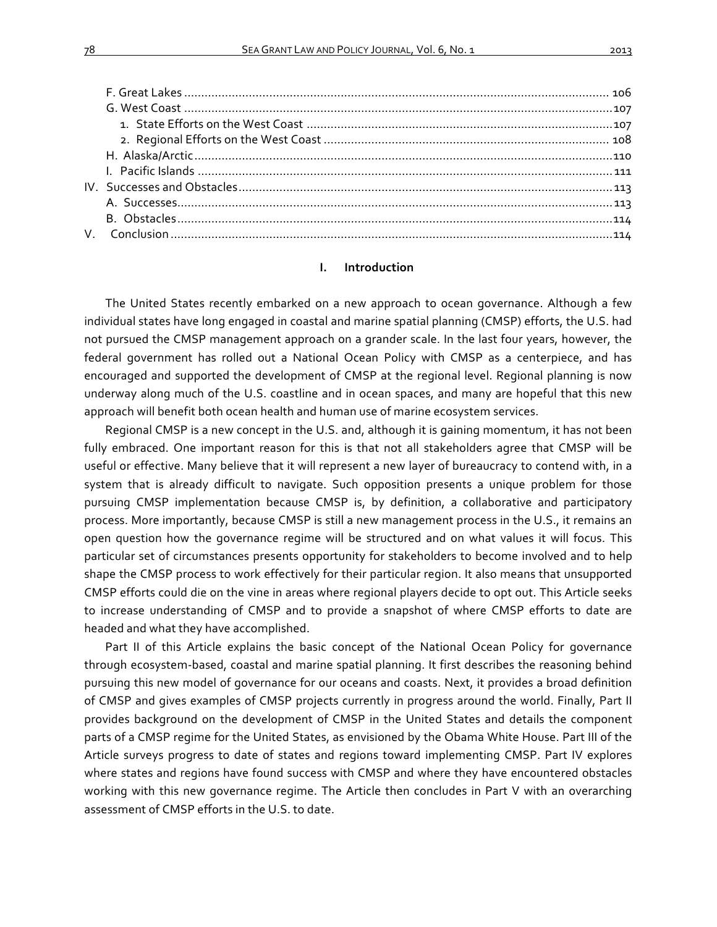## **I. Introduction**

The United States recently embarked on a new approach to ocean governance. Although a few individual states have long engaged in coastal and marine spatial planning (CMSP) efforts, the U.S. had not pursued the CMSP management approach on a grander scale. In the last four years, however, the federal government has rolled out a National Ocean Policy with CMSP as a centerpiece, and has encouraged and supported the development of CMSP at the regional level. Regional planning is now underway along much of the U.S. coastline and in ocean spaces, and many are hopeful that this new approach will benefit both ocean health and human use of marine ecosystem services.

Regional CMSP is a new concept in the U.S. and, although it is gaining momentum, it has not been fully embraced. One important reason for this is that not all stakeholders agree that CMSP will be useful or effective. Many believe that it will represent a new layer of bureaucracy to contend with, in a system that is already difficult to navigate. Such opposition presents a unique problem for those pursuing CMSP implementation because CMSP is, by definition, a collaborative and participatory process. More importantly, because CMSP is still a new management process in the U.S., it remains an open question how the governance regime will be structured and on what values it will focus. This particular set of circumstances presents opportunity for stakeholders to become involved and to help shape the CMSP process to work effectively for their particular region. It also means that unsupported CMSP efforts could die on the vine in areas where regional players decide to opt out. This Article seeks to increase understanding of CMSP and to provide a snapshot of where CMSP efforts to date are headed and what they have accomplished.

Part II of this Article explains the basic concept of the National Ocean Policy for governance through ecosystem-based, coastal and marine spatial planning. It first describes the reasoning behind pursuing this new model of governance for our oceans and coasts. Next, it provides a broad definition of CMSP and gives examples of CMSP projects currently in progress around the world. Finally, Part II provides background on the development of CMSP in the United States and details the component parts of a CMSP regime for the United States, as envisioned by the Obama White House. Part III of the Article surveys progress to date of states and regions toward implementing CMSP. Part IV explores where states and regions have found success with CMSP and where they have encountered obstacles working with this new governance regime. The Article then concludes in Part V with an overarching assessment of CMSP efforts in the U.S. to date.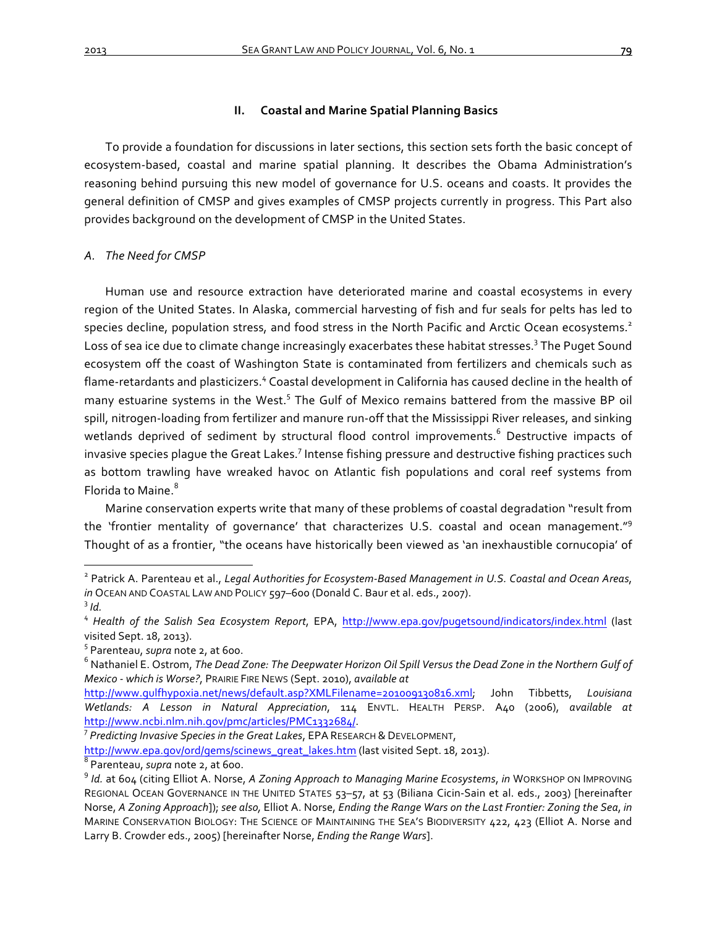## **II.** Coastal and Marine Spatial Planning Basics

To provide a foundation for discussions in later sections, this section sets forth the basic concept of ecosystem-based, coastal and marine spatial planning. It describes the Obama Administration's reasoning behind pursuing this new model of governance for U.S. oceans and coasts. It provides the general definition of CMSP and gives examples of CMSP projects currently in progress. This Part also provides background on the development of CMSP in the United States.

# *A. The Need for CMSP*

Human use and resource extraction have deteriorated marine and coastal ecosystems in every region of the United States. In Alaska, commercial harvesting of fish and fur seals for pelts has led to species decline, population stress, and food stress in the North Pacific and Arctic Ocean ecosystems.<sup>2</sup> Loss of sea ice due to climate change increasingly exacerbates these habitat stresses.<sup>3</sup> The Puget Sound ecosystem off the coast of Washington State is contaminated from fertilizers and chemicals such as flame-retardants and plasticizers.<sup>4</sup> Coastal development in California has caused decline in the health of many estuarine systems in the West.<sup>5</sup> The Gulf of Mexico remains battered from the massive BP oil spill, nitrogen-loading from fertilizer and manure run-off that the Mississippi River releases, and sinking wetlands deprived of sediment by structural flood control improvements.<sup>6</sup> Destructive impacts of invasive species plague the Great Lakes.<sup>7</sup> Intense fishing pressure and destructive fishing practices such as bottom trawling have wreaked havoc on Atlantic fish populations and coral reef systems from Florida to Maine.<sup>8</sup>

Marine conservation experts write that many of these problems of coastal degradation "result from the 'frontier mentality of governance' that characterizes U.S. coastal and ocean management."<sup>9</sup> Thought of as a frontier, "the oceans have historically been viewed as 'an inexhaustible cornucopia' of

<sup>&</sup>lt;sup>2</sup> Patrick A. Parenteau et al., *Legal Authorities for Ecosystem-Based Management in U.S. Coastal and Ocean Areas, in* OCEAN AND COASTAL LAW AND POLICY 597-600 (Donald C. Baur et al. eds., 2007).  $3/d$ .

<sup>&</sup>lt;sup>4</sup> Health of the Salish Sea Ecosystem Report, EPA, http://www.epa.gov/pugetsound/indicators/index.html (last

visited Sept. 18, 2013).<br><sup>5</sup> Parenteau, *supra* note 2, at 600.<br><sup>6</sup> Nathaniel E. Ostrom, *The Dead Zone: The Deepwater Horizon Oil Spill Versus the Dead Zone in the Northern Gulf of Mexico - which is Worse?*, PRAIRIE FIRE NEWS (Sept. 2010), *available at* 

http://www.gulfhypoxia.net/news/default.asp?XMLFilename=201009130816.xml; John Tibbetts, *Louisiana Wetlands: A Lesson in Natural Appreciation*, 114 ENVTL. HEALTH PERSP. A40 (2006), *available at*  http://www.ncbi.nlm.nih.gov/pmc/articles/PMC1332684/. <sup>7</sup>

<sup>&</sup>lt;sup>7</sup> Predicting Invasive Species in the Great Lakes, EPA RESEARCH & DEVELOPMENT,

http://www.epa.gov/ord/gems/scinews\_great\_lakes.htm (last visited Sept. 18, 2013).<br><sup>8</sup> Parenteau, *supra* note 2, at 600.<br><sup>9</sup> Id. at 604 (citing Elliot A. Norse, *A Zoning Approach to Managing Marine Ecosystems*, *in* WORK REGIONAL OCEAN GOVERNANCE IN THE UNITED STATES 53-57, at 53 (Biliana Cicin-Sain et al. eds., 2003) [hereinafter Norse, A Zoning Approach]); see also, Elliot A. Norse, *Ending the Range Wars on the Last Frontier: Zoning the Sea, in* MARINE CONSERVATION BIOLOGY: THE SCIENCE OF MAINTAINING THE SEA'S BIODIVERSITY 422, 423 (Elliot A. Norse and Larry B. Crowder eds., 2005) [hereinafter Norse, *Ending the Range Wars*].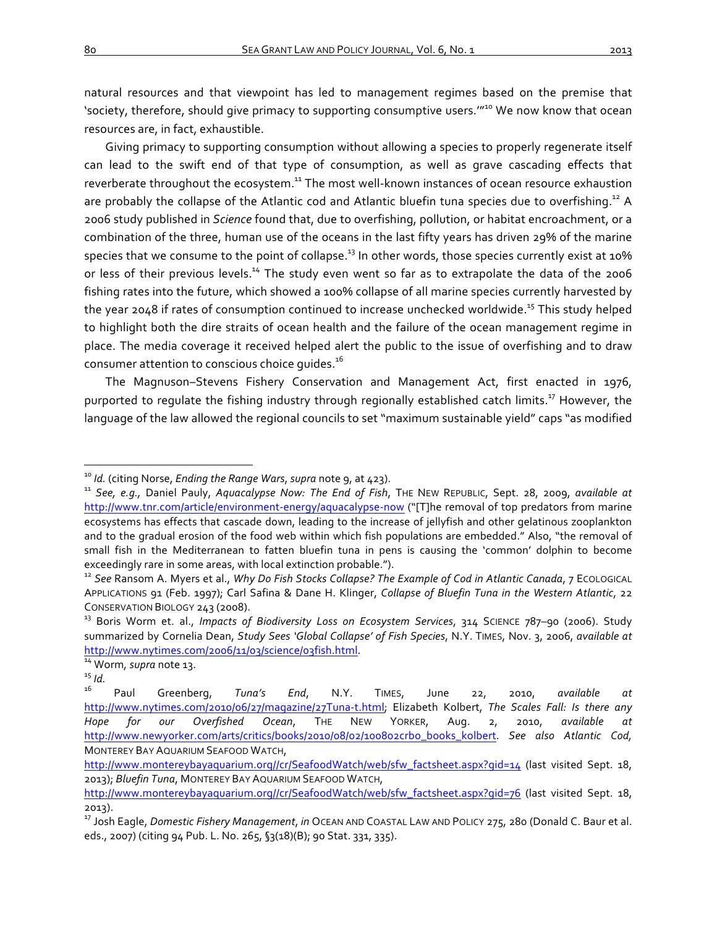natural resources and that viewpoint has led to management regimes based on the premise that 'society, therefore, should give primacy to supporting consumptive users."<sup>10</sup> We now know that ocean resources are, in fact, exhaustible.

Giving primacy to supporting consumption without allowing a species to properly regenerate itself can lead to the swift end of that type of consumption, as well as grave cascading effects that reverberate throughout the ecosystem.<sup>11</sup> The most well-known instances of ocean resource exhaustion are probably the collapse of the Atlantic cod and Atlantic bluefin tuna species due to overfishing.<sup>12</sup> A 2006 study published in *Science* found that, due to overfishing, pollution, or habitat encroachment, or a combination of the three, human use of the oceans in the last fifty years has driven 29% of the marine species that we consume to the point of collapse.<sup>13</sup> In other words, those species currently exist at 10% or less of their previous levels.<sup>14</sup> The study even went so far as to extrapolate the data of the 2006 fishing rates into the future, which showed a 100% collapse of all marine species currently harvested by the year 2048 if rates of consumption continued to increase unchecked worldwide.<sup>15</sup> This study helped to highlight both the dire straits of ocean health and the failure of the ocean management regime in place. The media coverage it received helped alert the public to the issue of overfishing and to draw consumer attention to conscious choice quides.<sup>16</sup>

The Magnuson–Stevens Fishery Conservation and Management Act, first enacted in 1976, purported to regulate the fishing industry through regionally established catch limits.<sup>17</sup> However, the language of the law allowed the regional councils to set "maximum sustainable yield" caps "as modified

<sup>&</sup>lt;sup>10</sup> ld. (citing Norse, *Ending the Range Wars*, supra note 9, at 423).<br><sup>11</sup> See, e.g., Daniel Pauly, Aquacalypse Now: The End of Fish, THE NEW REPUBLIC, Sept. 28, 2009, available at http://www.tnr.com/article/environment-energy/aquacalypse-now ("[T]he removal of top predators from marine ecosystems has effects that cascade down, leading to the increase of jellyfish and other gelatinous zooplankton and to the gradual erosion of the food web within which fish populations are embedded." Also, "the removal of small fish in the Mediterranean to fatten bluefin tuna in pens is causing the 'common' dolphin to become exceedingly rare in some areas, with local extinction probable.").

<sup>&</sup>lt;sup>12</sup> See Ransom A. Myers et al., *Why Do Fish Stocks Collapse? The Example of Cod in Atlantic Canada*, 7 ECOLOGICAL APPLICATIONS 91 (Feb. 1997); Carl Safina & Dane H. Klinger, *Collapse of Bluefin Tuna in the Western Atlantic*, 22 CONSERVATION BIOLOGY 243 (2008).<br><sup>13</sup> Boris Worm et. al., *Impacts of Biodiversity Loss on Ecosystem Services*, 314 SCIENCE 787–90 (2006). Study

summarized by Cornelia Dean, Study Sees 'Global Collapse' of Fish Species, N.Y. TIMES, Nov. 3, 2006, available at http://www.nytimes.com/2006/11/03/science/03fish.html. <sup>14</sup> Worm*, supra* note 13. <sup>15</sup> *Id.* <sup>16</sup> Paul Greenberg, *Tuna's End*, N.Y. TIMES, June 22, 2010, *available at* 

http://www.nytimes.com/2010/06/27/magazine/27Tuna-t.html; Elizabeth Kolbert, *The Scales Fall: Is there any Hope for our Overfished Ocean*, THE NEW YORKER, Aug. 2, 2010, *available at*  http://www.newyorker.com/arts/critics/books/2010/08/02/100802crbo\_books\_kolbert. *See also Atlantic Cod,*  MONTEREY BAY AQUARIUM SEAFOOD WATCH,

http://www.montereybayaquarium.org//cr/SeafoodWatch/web/sfw\_factsheet.aspx?qid=14 (last visited Sept. 18, 2013); *Bluefin Tuna*, MONTEREY BAY AQUARIUM SEAFOOD WATCH,

http://www.montereybayaquarium.org//cr/SeafoodWatch/web/sfw\_factsheet.aspx?qid=76 (last visited Sept. 18, 2013).

<sup>&</sup>lt;sup>17</sup> Josh Eagle, *Domestic Fishery Management*, *in* OCEAN AND COASTAL LAW AND POLICY 275, 280 (Donald C. Baur et al. eds., 2007) (citing 94 Pub. L. No. 265, §3(18)(B); 90 Stat. 331, 335).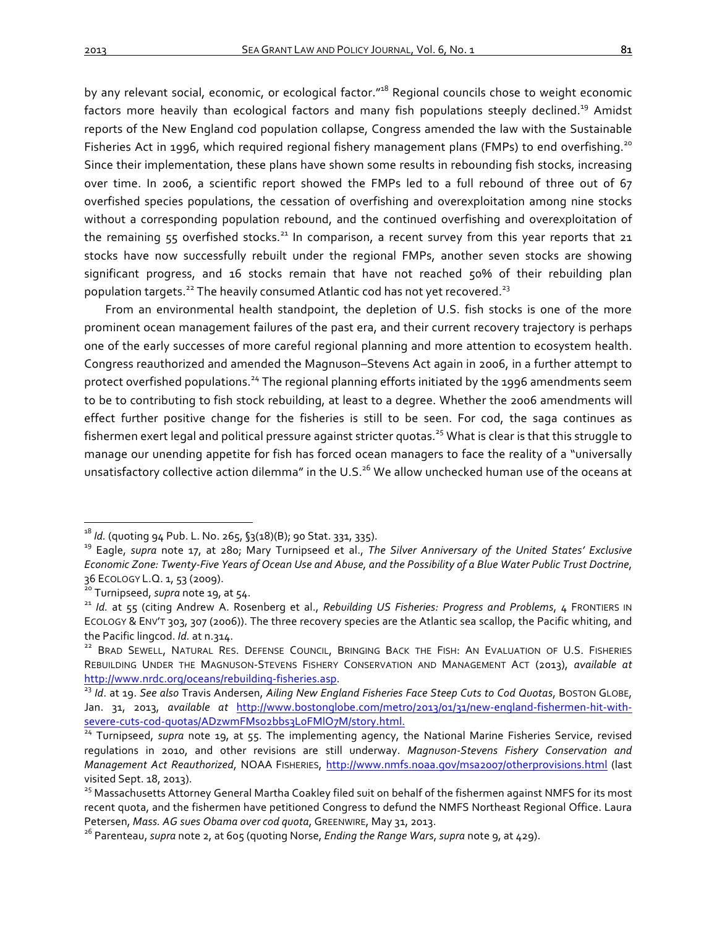by any relevant social, economic, or ecological factor."<sup>18</sup> Regional councils chose to weight economic factors more heavily than ecological factors and many fish populations steeply declined.<sup>19</sup> Amidst reports of the New England cod population collapse, Congress amended the law with the Sustainable Fisheries Act in 1996, which required regional fishery management plans (FMPs) to end overfishing.<sup>20</sup> Since their implementation, these plans have shown some results in rebounding fish stocks, increasing over time. In 2006, a scientific report showed the FMPs led to a full rebound of three out of 67 overfished species populations, the cessation of overfishing and overexploitation among nine stocks without a corresponding population rebound, and the continued overfishing and overexploitation of the remaining  $55$  overfished stocks.<sup>21</sup> In comparison, a recent survey from this year reports that 21 stocks have now successfully rebuilt under the regional FMPs, another seven stocks are showing significant progress, and 16 stocks remain that have not reached 50% of their rebuilding plan population targets.<sup>22</sup> The heavily consumed Atlantic cod has not yet recovered.<sup>23</sup>

From an environmental health standpoint, the depletion of U.S. fish stocks is one of the more prominent ocean management failures of the past era, and their current recovery trajectory is perhaps one of the early successes of more careful regional planning and more attention to ecosystem health. Congress reauthorized and amended the Magnuson–Stevens Act again in 2006, in a further attempt to protect overfished populations.<sup>24</sup> The regional planning efforts initiated by the 1996 amendments seem to be to contributing to fish stock rebuilding, at least to a degree. Whether the 2006 amendments will effect further positive change for the fisheries is still to be seen. For cod, the saga continues as fishermen exert legal and political pressure against stricter quotas.<sup>25</sup> What is clear is that this struggle to manage our unending appetite for fish has forced ocean managers to face the reality of a "universally unsatisfactory collective action dilemma" in the U.S.<sup>26</sup> We allow unchecked human use of the oceans at

<sup>&</sup>lt;sup>18</sup> *Id.* (quoting 94 Pub. L. No. 265, §3(18)(B); 90 Stat. 331, 335). 19 Silver Anniversary of the United States' Exclusive *Economic Zone: Twenty-Five Years of Ocean Use and Abuse, and the Possibility of a Blue Water Public Trust Doctrine,* 36 ECOLOGY L.Q. 1, 53 (2009).<br><sup>20</sup> Turnipseed, *supra* note 19, at 54.<br><sup>21</sup> Id. at 55 (citing Andrew A. Rosenberg et al., *Rebuilding US Fisheries: Progress and Problems*, 4 FRONTIERS IN

ECOLOGY & ENV'T 303, 307 (2006)). The three recovery species are the Atlantic sea scallop, the Pacific whiting, and the Pacific lingcod. *Id.* at n.314.<br><sup>22</sup> BRAD SEWELL, NATURAL RES. DEFENSE COUNCIL, BRINGING BACK THE FISH: AN EVALUATION OF U.S. FISHERIES

REBUILDING UNDER THE MAGNUSON-STEVENS FISHERY CONSERVATION AND MANAGEMENT ACT (2013), *available at* http://www.nrdc.org/oceans/rebuilding-fisheries.asp.<br><sup>23</sup> Id. at 19. See also Travis Andersen, Ailing New England Fisheries Face Steep Cuts to Cod Quotas, BOSTON GLOBE,

Jan. 31, 2013, *available at* http://www.bostonglobe.com/metro/2013/01/31/new-england-fishermen-hit-withsevere-cuts-cod-quotas/ADzwmFMso2bbs3LoFMIO7M/story.html.<br><sup>24</sup> Turnipseed, *supra* note 19, at 55. The implementing agency, the National Marine Fisheries Service, revised

regulations in 2010, and other revisions are still underway. Magnuson-Stevens Fishery Conservation and *Management Act Reauthorized*, NOAA FISHERIES, http://www.nmfs.noaa.gov/msa2007/otherprovisions.html (last visited Sept. 18, 2013).<br><sup>25</sup> Massachusetts Attorney General Martha Coakley filed suit on behalf of the fishermen against NMFS for its most

recent quota, and the fishermen have petitioned Congress to defund the NMFS Northeast Regional Office. Laura Petersen, *Mass. AG sues Obama over cod quota*, GREENWIRE, May 31, 2013.<br><sup>26</sup> Parenteau, *supra* note 2, at 605 (quoting Norse, *Ending the Range Wars*, *supra* note 9, at 429).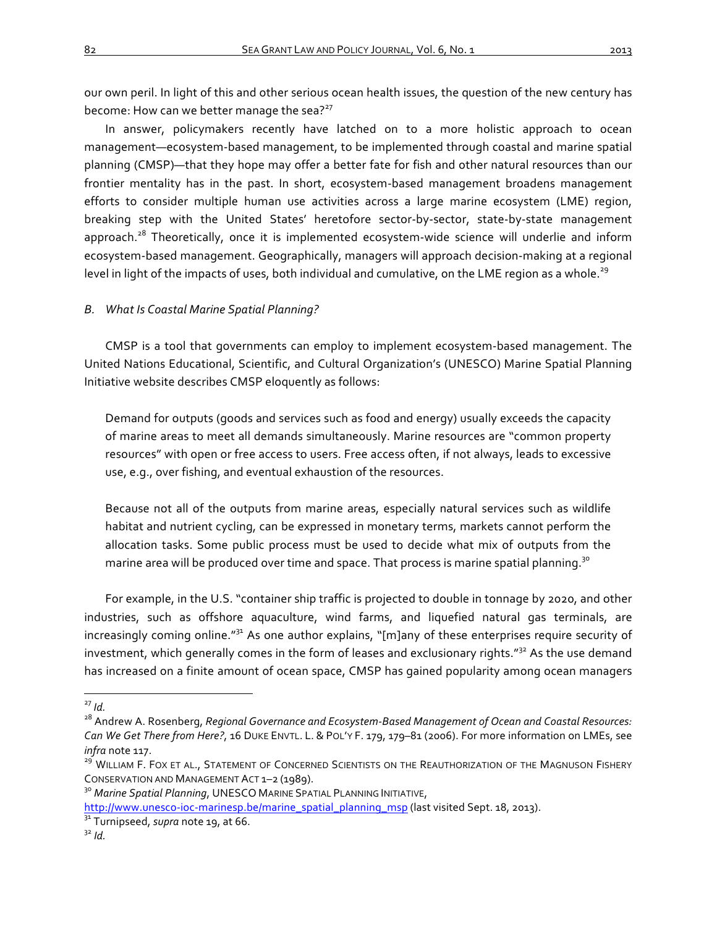our own peril. In light of this and other serious ocean health issues, the question of the new century has become: How can we better manage the sea? $2^{27}$ 

In answer, policymakers recently have latched on to a more holistic approach to ocean management—ecosystem-based management, to be implemented through coastal and marine spatial planning (CMSP)—that they hope may offer a better fate for fish and other natural resources than our frontier mentality has in the past. In short, ecosystem-based management broadens management efforts to consider multiple human use activities across a large marine ecosystem (LME) region, breaking step with the United States' heretofore sector-by-sector, state-by-state management approach.<sup>28</sup> Theoretically, once it is implemented ecosystem-wide science will underlie and inform ecosystem-based management. Geographically, managers will approach decision-making at a regional level in light of the impacts of uses, both individual and cumulative, on the LME region as a whole.<sup>29</sup>

## **B.** What Is Coastal Marine Spatial Planning?

CMSP is a tool that governments can employ to implement ecosystem-based management. The United Nations Educational, Scientific, and Cultural Organization's (UNESCO) Marine Spatial Planning Initiative website describes CMSP eloquently as follows:

Demand for outputs (goods and services such as food and energy) usually exceeds the capacity of marine areas to meet all demands simultaneously. Marine resources are "common property resources" with open or free access to users. Free access often, if not always, leads to excessive use, e.g., over fishing, and eventual exhaustion of the resources.

Because not all of the outputs from marine areas, especially natural services such as wildlife habitat and nutrient cycling, can be expressed in monetary terms, markets cannot perform the allocation tasks. Some public process must be used to decide what mix of outputs from the marine area will be produced over time and space. That process is marine spatial planning.<sup>30</sup>

For example, in the U.S. "container ship traffic is projected to double in tonnage by 2020, and other industries, such as offshore aquaculture, wind farms, and liquefied natural gas terminals, are increasingly coming online." $31$  As one author explains, "[m]any of these enterprises require security of investment, which generally comes in the form of leases and exclusionary rights."<sup>32</sup> As the use demand has increased on a finite amount of ocean space, CMSP has gained popularity among ocean managers

<sup>&</sup>lt;sup>27</sup> Id.<br><sup>28</sup> Andrew A. Rosenberg, *Regional Governance and Ecosystem-Based Management of Ocean and Coastal Resources: Can* We Get There from Here?, 16 DUKE ENVTL. L. & POL'Y F. 179, 179-81 (2006). For more information on LMEs, see *infra* note 117.<br><sup>29</sup> WILLIAM F. FOX ET AL., STATEMENT OF CONCERNED SCIENTISTS ON THE REAUTHORIZATION OF THE MAGNUSON FISHERY

CONSERVATION AND MANAGEMENT ACT 1–2 (1989).<br><sup>30</sup> *Marine Spatial Planning*, UNESCO MARINE SPATIAL PLANNING INITIATIVE,

http://www.unesco-ioc-marinesp.be/marine\_spatial\_planning\_msp (last visited Sept. 18, 2013).<br><sup>31</sup> Turnipseed, *supra* note 19, at 66. 32 *Id.* 32 *Id.*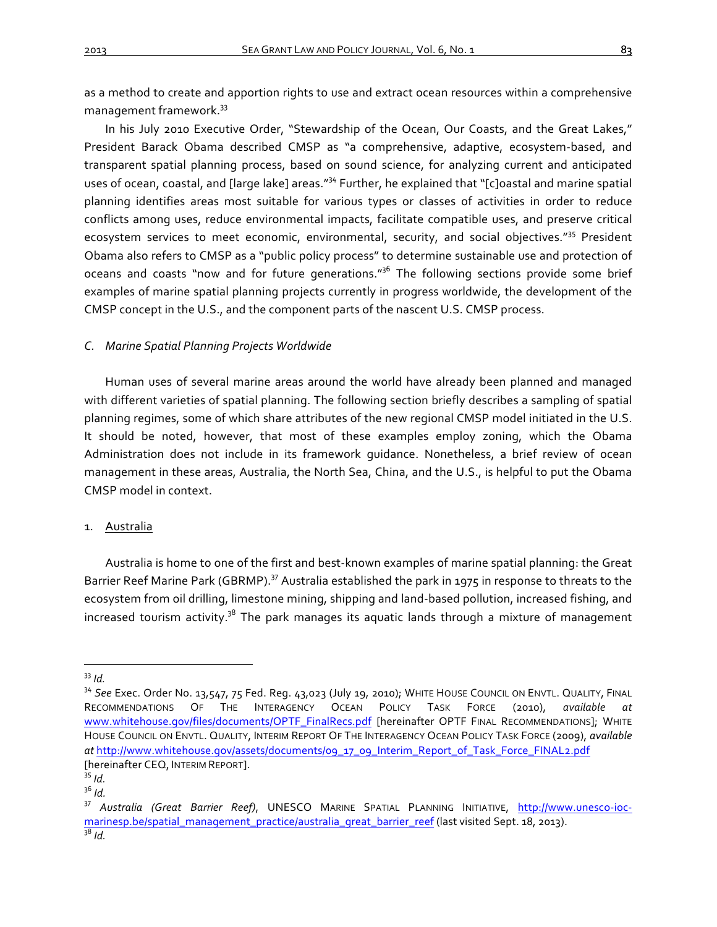as a method to create and apportion rights to use and extract ocean resources within a comprehensive management framework.<sup>33</sup>

In his July 2010 Executive Order, "Stewardship of the Ocean, Our Coasts, and the Great Lakes," President Barack Obama described CMSP as "a comprehensive, adaptive, ecosystem-based, and transparent spatial planning process, based on sound science, for analyzing current and anticipated uses of ocean, coastal, and [large lake] areas."<sup>34</sup> Further, he explained that "[c]oastal and marine spatial planning identifies areas most suitable for various types or classes of activities in order to reduce conflicts among uses, reduce environmental impacts, facilitate compatible uses, and preserve critical ecosystem services to meet economic, environmental, security, and social objectives."<sup>35</sup> President Obama also refers to CMSP as a "public policy process" to determine sustainable use and protection of oceans and coasts "now and for future generations."<sup>36</sup> The following sections provide some brief examples of marine spatial planning projects currently in progress worldwide, the development of the CMSP concept in the U.S., and the component parts of the nascent U.S. CMSP process.

## *C. Marine Spatial Planning Projects Worldwide*

Human uses of several marine areas around the world have already been planned and managed with different varieties of spatial planning. The following section briefly describes a sampling of spatial planning regimes, some of which share attributes of the new regional CMSP model initiated in the U.S. It should be noted, however, that most of these examples employ zoning, which the Obama Administration does not include in its framework quidance. Nonetheless, a brief review of ocean management in these areas, Australia, the North Sea, China, and the U.S., is helpful to put the Obama CMSP model in context.

## 1. Australia

Australia is home to one of the first and best-known examples of marine spatial planning: the Great Barrier Reef Marine Park (GBRMP).<sup>37</sup> Australia established the park in 1975 in response to threats to the ecosystem from oil drilling, limestone mining, shipping and land-based pollution, increased fishing, and increased tourism activity. $38$  The park manages its aquatic lands through a mixture of management

<sup>&</sup>lt;sup>33</sup> *Id.*<br><sup>34</sup> See Exec. Order No. 13,547, 75 Fed. Reg. 43,023 (July 19, 2010); WHITE HOUSE COUNCIL ON ENVTL. QUALITY, FINAL RECOMMENDATIONS OF THE INTERAGENCY OCEAN POLICY TASK FORCE (2010), *available* www.whitehouse.gov/files/documents/OPTF\_FinalRecs.pdf [hereinafter OPTF FINAL RECOMMENDATIONS]; WHITE HOUSE COUNCIL ON ENVTL. QUALITY, INTERIM REPORT OF THE INTERAGENCY OCEAN POLICY TASK FORCE (2009), *available at* http://www.whitehouse.gov/assets/documents/09\_17\_09\_Interim\_Report\_of\_Task\_Force\_FINAL2.pdf [hereinafter CEQ, INTERIM REPORT].<br><sup>35</sup> *Id.*<br><sup>36</sup> *Id.* 

<sup>&</sup>lt;sup>37</sup> Australia (Great Barrier Reef), UNESCO MARINE SPATIAL PLANNING INITIATIVE, http://www.unesco-iocmarinesp.be/spatial\_management\_practice/australia\_great\_barrier\_reef (last visited Sept. 18, 2013). <sup>38</sup> *Id.*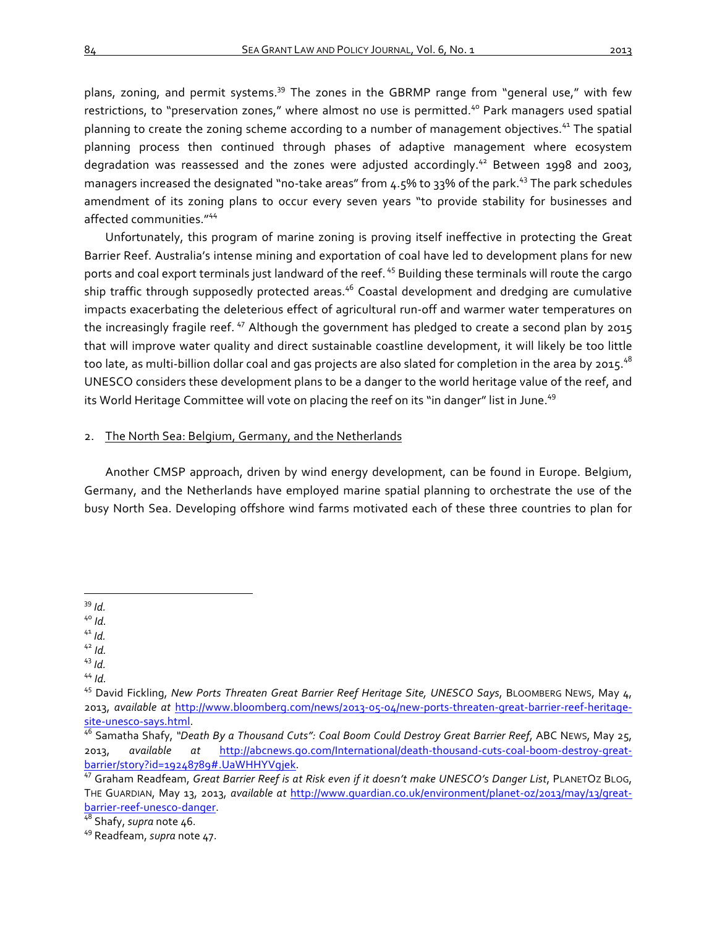plans, zoning, and permit systems.<sup>39</sup> The zones in the GBRMP range from "general use," with few restrictions, to "preservation zones," where almost no use is permitted.<sup>40</sup> Park managers used spatial planning to create the zoning scheme according to a number of management objectives.<sup>41</sup> The spatial planning process then continued through phases of adaptive management where ecosystem degradation was reassessed and the zones were adjusted accordingly.<sup>42</sup> Between 1998 and 2003, managers increased the designated "no-take areas" from 4.5% to 33% of the park.<sup>43</sup> The park schedules amendment of its zoning plans to occur every seven years "to provide stability for businesses and affected communities."<sup>44</sup>

Unfortunately, this program of marine zoning is proving itself ineffective in protecting the Great Barrier Reef. Australia's intense mining and exportation of coal have led to development plans for new ports and coal export terminals just landward of the reef. <sup>45</sup> Building these terminals will route the cargo ship traffic through supposedly protected areas.<sup>46</sup> Coastal development and dredging are cumulative impacts exacerbating the deleterious effect of agricultural run-off and warmer water temperatures on the increasingly fragile reef.  $47$  Although the government has pledged to create a second plan by 2015 that will improve water quality and direct sustainable coastline development, it will likely be too little too late, as multi-billion dollar coal and gas projects are also slated for completion in the area by 2015.<sup>48</sup> UNESCO considers these development plans to be a danger to the world heritage value of the reef, and its World Heritage Committee will vote on placing the reef on its "in danger" list in June.<sup>49</sup>

# 2. The North Sea: Belgium, Germany, and the Netherlands

Another CMSP approach, driven by wind energy development, can be found in Europe. Belgium, Germany, and the Netherlands have employed marine spatial planning to orchestrate the use of the busy North Sea. Developing offshore wind farms motivated each of these three countries to plan for

- 
- 

<sup>&</sup>lt;sup>39</sup> *Id.*<br><sup>40</sup> *Id.*<br><sup>43</sup> *Id.*<br><sup>44</sup> *Id.*<br><sup>44</sup> *Id.*<br><sup>45</sup> David Fickling, *New Ports Threaten Great Barrier Reef Heritage Site, UNESCO Says, BLOOMBERG NEWS, May 4,* 2013, *available at*  http://www.bloomberg.com/news/2013-05-04/new-ports-threaten-great-barrier-reef-heritagesite-unesco-says.html.<br><sup>46</sup> Samatha Shafy, "Death By a Thousand Cuts": Coal Boom Could Destroy Great Barrier Reef, ABC NEws, May 25,

<sup>2013,</sup>  *available at*  http://abcnews.go.com/International/death-thousand-cuts-coal-boom-destroy-greatbarrier/story?id=19248789#.UaWHHYVgjek.<br><sup>47</sup> Graham Readfeam, *Great Barrier Reef is at Risk even if it doesn't make UNESCO's Danger List*, PLANETOZ BLOG,

THE GUARDIAN, May 13, 2013, *available at http://www.guardian.co.uk/environment/planet-oz/2013/may/13/great*barrier-reef-unesco-danger.<br><sup>48</sup> Shafy, *supra* note 46.<br><sup>49</sup> Readfeam, *supra* note 47.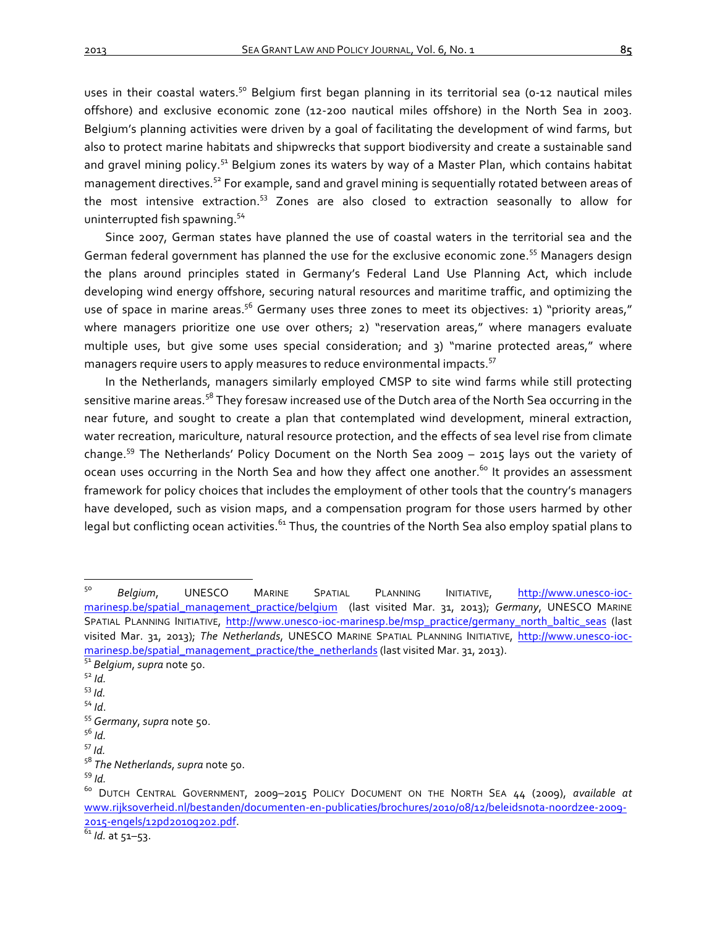uses in their coastal waters.<sup>50</sup> Belgium first began planning in its territorial sea (0-12 nautical miles offshore) and exclusive economic zone (12-200 nautical miles offshore) in the North Sea in 2003. Belgium's planning activities were driven by a goal of facilitating the development of wind farms, but also to protect marine habitats and shipwrecks that support biodiversity and create a sustainable sand and gravel mining policy.<sup>51</sup> Belgium zones its waters by way of a Master Plan, which contains habitat management directives.<sup>52</sup> For example, sand and gravel mining is sequentially rotated between areas of the most intensive extraction.<sup>53</sup> Zones are also closed to extraction seasonally to allow for uninterrupted fish spawning.<sup>54</sup>

Since 2007, German states have planned the use of coastal waters in the territorial sea and the German federal government has planned the use for the exclusive economic zone.<sup>55</sup> Managers design the plans around principles stated in Germany's Federal Land Use Planning Act, which include developing wind energy offshore, securing natural resources and maritime traffic, and optimizing the use of space in marine areas.<sup>56</sup> Germany uses three zones to meet its objectives: 1) "priority areas," where managers prioritize one use over others; 2) "reservation areas," where managers evaluate multiple uses, but give some uses special consideration; and 3) "marine protected areas," where managers require users to apply measures to reduce environmental impacts.<sup>57</sup>

In the Netherlands, managers similarly employed CMSP to site wind farms while still protecting sensitive marine areas.<sup>58</sup> They foresaw increased use of the Dutch area of the North Sea occurring in the near future, and sought to create a plan that contemplated wind development, mineral extraction, water recreation, mariculture, natural resource protection, and the effects of sea level rise from climate change.<sup>59</sup> The Netherlands' Policy Document on the North Sea 2009 – 2015 lays out the variety of ocean uses occurring in the North Sea and how they affect one another.<sup>60</sup> It provides an assessment framework for policy choices that includes the employment of other tools that the country's managers have developed, such as vision maps, and a compensation program for those users harmed by other legal but conflicting ocean activities.<sup>61</sup> Thus, the countries of the North Sea also employ spatial plans to

<sup>50</sup> *Belgium*, UNESCO MARINE SPATIAL PLANNING INITIATIVE, http://www.unesco-iocmarinesp.be/spatial\_management\_practice/belgium (last visited Mar. 31, 2013); Germany, UNESCO MARINE SPATIAL PLANNING INITIATIVE, http://www.unesco-ioc-marinesp.be/msp\_practice/germany\_north\_baltic\_seas (last visited Mar. 31, 2013); The Netherlands, UNESCO MARINE SPATIAL PLANNING INITIATIVE, http://www.unesco-iocmarinesp.be/spatial\_management\_practice/the\_netherlands (last visited Mar. 31, 2013).<br><sup>51</sup> Belgium, supra note 50.<br><sup>52</sup> Id.<br><sup>54</sup> Id.<br><sup>55</sup> Germany, supra note 50.<br><sup>55</sup> Germany, supra note 50.<br><sup>56</sup> Id.

<sup>&</sup>lt;sup>58</sup> The Netherlands, supra note 50.<br><sup>59</sup> Id.<br><sup>60</sup> DUTCH CENTRAL GOVERNMENT, 2009–2015 POLICY DOCUMENT ON THE NORTH SEA 44 (2009), *available at* www.rijksoverheid.nl/bestanden/documenten-en-publicaties/brochures/2010/08/12/beleidsnota-noordzee-2009- 2015-engels/12pd2010g202.pdf.<br><sup>61</sup> *Id.* at 51–53.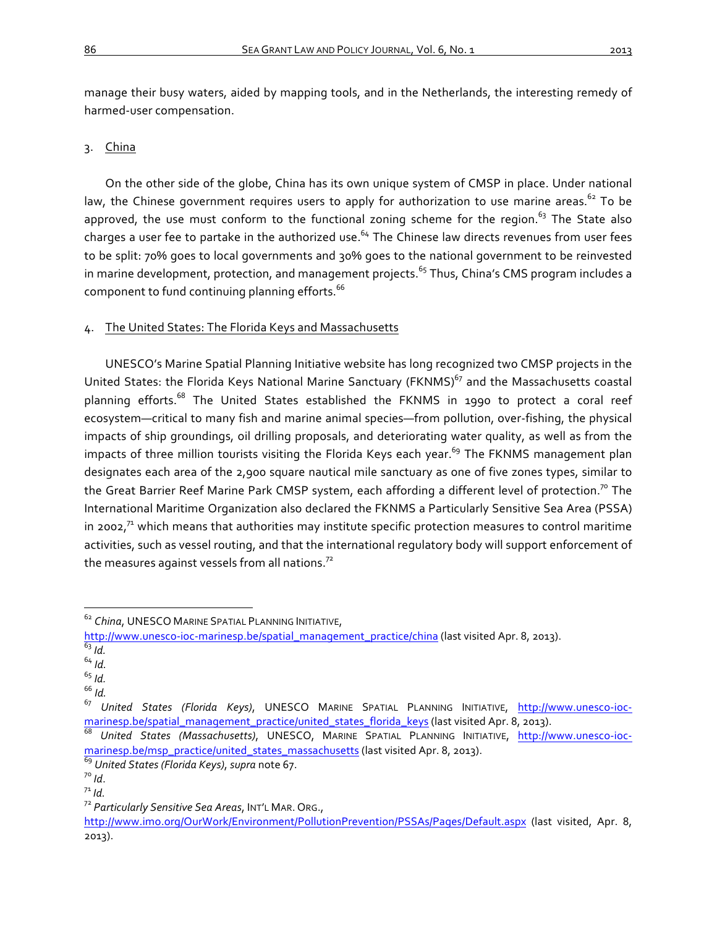manage their busy waters, aided by mapping tools, and in the Netherlands, the interesting remedy of harmed-user compensation.

# 3. China

On the other side of the globe, China has its own unique system of CMSP in place. Under national law, the Chinese government requires users to apply for authorization to use marine areas.<sup>62</sup> To be approved, the use must conform to the functional zoning scheme for the region. $63$  The State also charges a user fee to partake in the authorized use.<sup>64</sup> The Chinese law directs revenues from user fees to be split: 70% goes to local governments and 30% goes to the national government to be reinvested in marine development, protection, and management projects.<sup>65</sup> Thus, China's CMS program includes a component to fund continuing planning efforts. $66$ 

# 4. The United States: The Florida Keys and Massachusetts

UNESCO's Marine Spatial Planning Initiative website has long recognized two CMSP projects in the United States: the Florida Keys National Marine Sanctuary (FKNMS)<sup>67</sup> and the Massachusetts coastal planning efforts.<sup>68</sup> The United States established the FKNMS in 1990 to protect a coral reef ecosystem—critical to many fish and marine animal species—from pollution, over-fishing, the physical impacts of ship groundings, oil drilling proposals, and deteriorating water quality, as well as from the impacts of three million tourists visiting the Florida Keys each year.<sup>69</sup> The FKNMS management plan designates each area of the 2,900 square nautical mile sanctuary as one of five zones types, similar to the Great Barrier Reef Marine Park CMSP system, each affording a different level of protection.<sup>70</sup> The International Maritime Organization also declared the FKNMS a Particularly Sensitive Sea Area (PSSA) in 2002,<sup>71</sup> which means that authorities may institute specific protection measures to control maritime activities, such as vessel routing, and that the international regulatory body will support enforcement of the measures against vessels from all nations. $72$ 

65 *Id.* 66 *Id.*

<sup>&</sup>lt;sup>62</sup> *China*, UNESCO MARINE SPATIAL PLANNING INITIATIVE,

http://www.unesco-ioc-marinesp.be/spatial\_management\_practice/china (last visited Apr. 8, 2013).  $\overline{\frac{63}{d}}$ .

<sup>64</sup> *Id.*

<sup>&</sup>lt;sup>67</sup> United States (Florida Keys), UNESCO MARINE SPATIAL PLANNING INITIATIVE, http://www.unesco-iocmarinesp.be/spatial\_management\_practice/united\_states\_florida\_keys (last visited Apr. 8, 2013).<br><sup>68</sup> *United States (Massachusetts)*, UNESCO, MARINE SPATIAL PLANNING INITIATIVE, http://www.unesco-ioc-

marinesp.be/msp\_practice/united\_states\_massachusetts (last visited Apr. 8, 2013).

<sup>69</sup> United States (Florida Keys), supra note 67.<br><sup>70</sup> Id.<br><sup>71</sup> Id. <sup>72</sup> Particularly Sensitive Sea Areas, INT'L MAR. ORG.,

http://www.imo.org/OurWork/Environment/PollutionPrevention/PSSAs/Pages/Default.aspx (last visited, Apr. 8, 2013).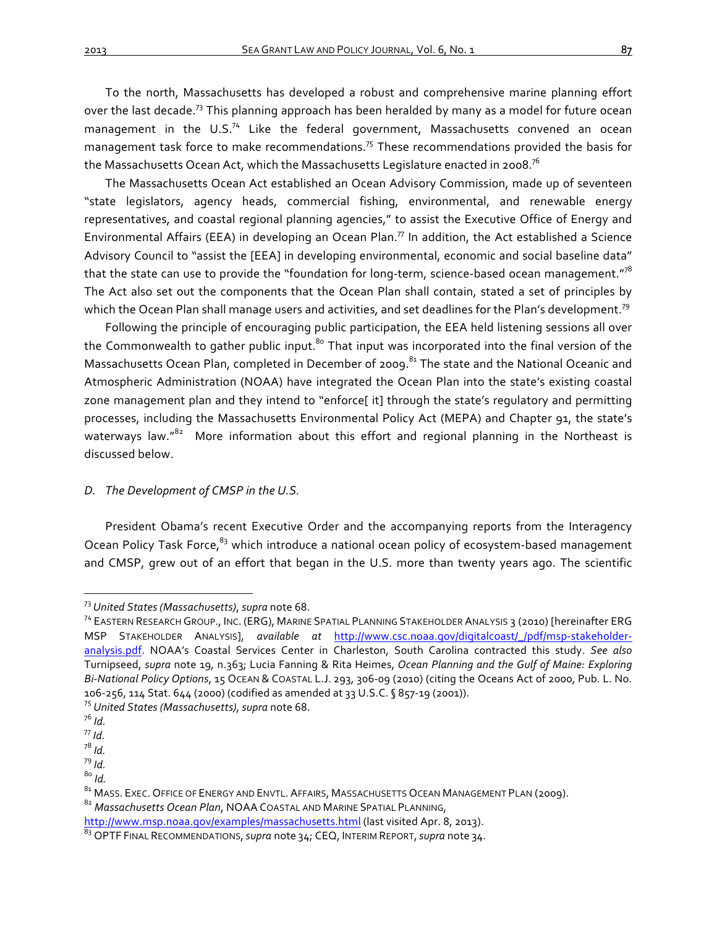To the north, Massachusetts has developed a robust and comprehensive marine planning effort over the last decade.<sup>73</sup> This planning approach has been heralded by many as a model for future ocean management in the U.S.<sup>74</sup> Like the federal government, Massachusetts convened an ocean management task force to make recommendations.<sup>75</sup> These recommendations provided the basis for the Massachusetts Ocean Act, which the Massachusetts Legislature enacted in 2008.<sup>76</sup>

The Massachusetts Ocean Act established an Ocean Advisory Commission, made up of seventeen "state legislators, agency heads, commercial fishing, environmental, and renewable energy representatives, and coastal regional planning agencies," to assist the Executive Office of Energy and Environmental Affairs (EEA) in developing an Ocean Plan.<sup>77</sup> In addition, the Act established a Science Advisory Council to "assist the [EEA] in developing environmental, economic and social baseline data" that the state can use to provide the "foundation for long-term, science-based ocean management."<sup>78</sup> The Act also set out the components that the Ocean Plan shall contain, stated a set of principles by which the Ocean Plan shall manage users and activities, and set deadlines for the Plan's development.<sup>79</sup>

Following the principle of encouraging public participation, the EEA held listening sessions all over the Commonwealth to gather public input.<sup>80</sup> That input was incorporated into the final version of the Massachusetts Ocean Plan, completed in December of 2009.<sup>81</sup> The state and the National Oceanic and Atmospheric Administration (NOAA) have integrated the Ocean Plan into the state's existing coastal zone management plan and they intend to "enforce[ it] through the state's regulatory and permitting processes, including the Massachusetts Environmental Policy Act (MEPA) and Chapter 91, the state's waterways law." $82$  More information about this effort and regional planning in the Northeast is discussed below.

# D. The Development of CMSP in the U.S.

President Obama's recent Executive Order and the accompanying reports from the Interagency Ocean Policy Task Force,<sup>83</sup> which introduce a national ocean policy of ecosystem-based management and CMSP, grew out of an effort that began in the U.S. more than twenty years ago. The scientific

<sup>&</sup>lt;sup>73</sup> United States (Massachusetts), supra note 68.<br><sup>74</sup> EASTERN RESEARCH GROUP., INC. (ERG), MARINE SPATIAL PLANNING STAKEHOLDER ANALYSIS 3 (2010) [hereinafter ERG MSP STAKEHOLDER ANALYSIS], *available at http://www.csc.noaa.gov/digitalcoast/\_/pdf/msp-stakeholder*analysis.pdf. NOAA's Coastal Services Center in Charleston, South Carolina contracted this study. See also Turnipseed, *supra* note 19, n.363; Lucia Fanning & Rita Heimes, *Ocean Planning and the Gulf of Maine: Exploring Bi-National Policy Options*, 15 OCEAN & COASTAL L.J. 293, 306-09 (2010) (citing the Oceans Act of 2000, Pub. L. No. 106-256, 114 Stat. 644 (2000) (codified as amended at 33 U.S.C. § 857-19 (2001)).<br><sup>75</sup> *United States (Massachusetts)*, *supra* note 68.<br><sup>76</sup> *Id.*<br><sup>77</sup> *Id.*<br><sup>78</sup> *Id* 

<sup>&</sup>lt;sup>79</sup> *Id.*<br><sup>80</sup> *Id.*<br><sup>81</sup> MASS. EXEC. OFFICE OF ENERGY AND ENVTL. AFFAIRS, MASSACHUSETTS OCEAN MANAGEMENT PLAN (2009).<br><sup>82</sup> Massachusetts Ocean Plan, NOAA COASTAL AND MARINE SPATIAL PLANNING,

http://www.msp.noaa.gov/examples/massachusetts.html (last visited Apr. 8, 2013).

<sup>83</sup> OPTF FINAL RECOMMENDATIONS, *supra* note 34; CEQ, INTERIM REPORT, *supra* note 34.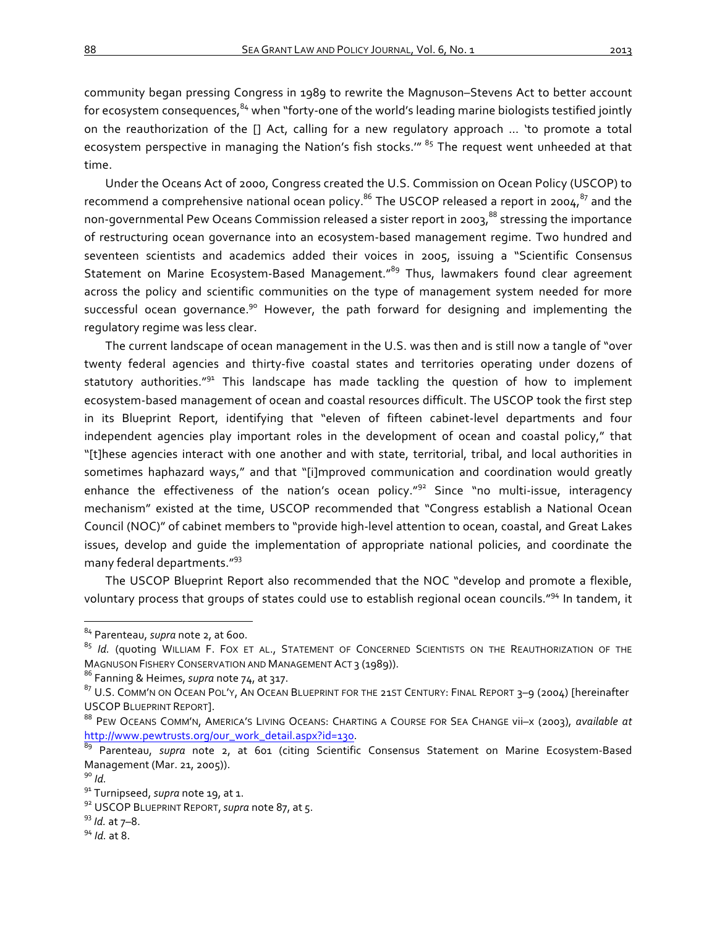community began pressing Congress in 1989 to rewrite the Magnuson–Stevens Act to better account for ecosystem consequences,  $84$  when "forty-one of the world's leading marine biologists testified jointly on the reauthorization of the [] Act, calling for a new regulatory approach ... 'to promote a total ecosystem perspective in managing the Nation's fish stocks." <sup>85</sup> The request went unheeded at that time. 

Under the Oceans Act of 2000, Congress created the U.S. Commission on Ocean Policy (USCOP) to recommend a comprehensive national ocean policy.<sup>86</sup> The USCOP released a report in 2004,<sup>87</sup> and the non-governmental Pew Oceans Commission released a sister report in 2003,<sup>88</sup> stressing the importance of restructuring ocean governance into an ecosystem-based management regime. Two hundred and seventeen scientists and academics added their voices in 2005, issuing a "Scientific Consensus Statement on Marine Ecosystem-Based Management."<sup>89</sup> Thus, lawmakers found clear agreement across the policy and scientific communities on the type of management system needed for more successful ocean governance.<sup>90</sup> However, the path forward for designing and implementing the regulatory regime was less clear.

The current landscape of ocean management in the U.S. was then and is still now a tangle of "over twenty federal agencies and thirty-five coastal states and territories operating under dozens of statutory authorities." $91$  This landscape has made tackling the question of how to implement ecosystem-based management of ocean and coastal resources difficult. The USCOP took the first step in its Blueprint Report, identifying that "eleven of fifteen cabinet-level departments and four independent agencies play important roles in the development of ocean and coastal policy," that "[t]hese agencies interact with one another and with state, territorial, tribal, and local authorities in sometimes haphazard ways," and that "[i]mproved communication and coordination would greatly enhance the effectiveness of the nation's ocean policy." $92$  Since "no multi-issue, interagency mechanism" existed at the time, USCOP recommended that "Congress establish a National Ocean Council (NOC)" of cabinet members to "provide high-level attention to ocean, coastal, and Great Lakes issues, develop and quide the implementation of appropriate national policies, and coordinate the many federal departments."<sup>93</sup>

The USCOP Blueprint Report also recommended that the NOC "develop and promote a flexible, voluntary process that groups of states could use to establish regional ocean councils."<sup>94</sup> In tandem, it

<sup>84</sup> Parenteau, *supra* note 2, at 600.

<sup>85</sup> *Id.* (quoting WILLIAM F. FOX ET AL., STATEMENT OF CONCERNED SCIENTISTS ON THE REAUTHORIZATION OF THE MAGNUSON FISHERY CONSERVATION AND MANAGEMENT ACT 3 (1989)).<br><sup>86</sup> Fanning & Heimes, *supra* note 74, at 317.

 $87$  U.S. COMM'N ON OCEAN POL'Y, AN OCEAN BLUEPRINT FOR THE 21ST CENTURY: FINAL REPORT 3–9 (2004) [hereinafter USCOP BLUEPRINT REPORT].

<sup>88</sup> PEW OCEANS COMM'N, AMERICA'S LIVING OCEANS: CHARTING A COURSE FOR SEA CHANGE vii–x (2003), *available at* http://www.pewtrusts.org/our\_work\_detail.aspx?id=130.<br><sup>89</sup> Parenteau, *supra* note 2, at 601 (citing Scientific Consensus Statement on Marine Ecosystem-Based

Management (Mar. 21, 2005)).<br><sup>90</sup> *Id.*<br><sup>91</sup> Turnipseed, *supra* note 19, at 1.<br><sup>92</sup> USCOP BLUEPRINT REPORT, *supra* note 87, at 5.<br><sup>93</sup> *Id.* at 7–8.<br><sup>94</sup> *Id.* at 8.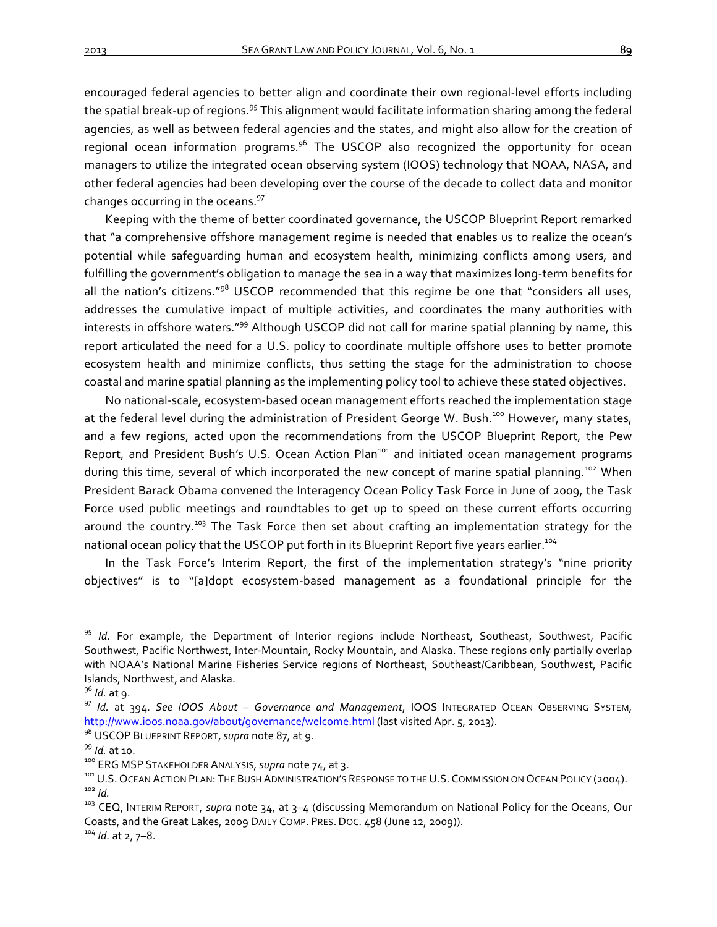encouraged federal agencies to better align and coordinate their own regional-level efforts including the spatial break-up of regions.<sup>95</sup> This alignment would facilitate information sharing among the federal agencies, as well as between federal agencies and the states, and might also allow for the creation of regional ocean information programs.<sup>96</sup> The USCOP also recognized the opportunity for ocean managers to utilize the integrated ocean observing system (IOOS) technology that NOAA, NASA, and other federal agencies had been developing over the course of the decade to collect data and monitor changes occurring in the oceans. $97$ 

Keeping with the theme of better coordinated governance, the USCOP Blueprint Report remarked that "a comprehensive offshore management regime is needed that enables us to realize the ocean's potential while safeguarding human and ecosystem health, minimizing conflicts among users, and fulfilling the government's obligation to manage the sea in a way that maximizes long-term benefits for all the nation's citizens." $98$  USCOP recommended that this regime be one that "considers all uses, addresses the cumulative impact of multiple activities, and coordinates the many authorities with interests in offshore waters."<sup>99</sup> Although USCOP did not call for marine spatial planning by name, this report articulated the need for a U.S. policy to coordinate multiple offshore uses to better promote ecosystem health and minimize conflicts, thus setting the stage for the administration to choose coastal and marine spatial planning as the implementing policy tool to achieve these stated objectives.

No national-scale, ecosystem-based ocean management efforts reached the implementation stage at the federal level during the administration of President George W. Bush.<sup>100</sup> However, many states, and a few regions, acted upon the recommendations from the USCOP Blueprint Report, the Pew Report, and President Bush's U.S. Ocean Action Plan<sup>101</sup> and initiated ocean management programs during this time, several of which incorporated the new concept of marine spatial planning.<sup>102</sup> When President Barack Obama convened the Interagency Ocean Policy Task Force in June of 2009, the Task Force used public meetings and roundtables to get up to speed on these current efforts occurring around the country.<sup>103</sup> The Task Force then set about crafting an implementation strategy for the national ocean policy that the USCOP put forth in its Blueprint Report five years earlier.<sup>104</sup>

In the Task Force's Interim Report, the first of the implementation strategy's "nine priority objectives" is to "[a]dopt ecosystem-based management as a foundational principle for the

<sup>&</sup>lt;sup>95</sup> *Id.* For example, the Department of Interior regions include Northeast, Southeast, Southwest, Pacific Southwest, Pacific Northwest, Inter-Mountain, Rocky Mountain, and Alaska. These regions only partially overlap with NOAA's National Marine Fisheries Service regions of Northeast, Southeast/Caribbean, Southwest, Pacific Islands, Northwest, and Alaska.

<sup>&</sup>lt;sup>96</sup> Id. at 9.<br><sup>97</sup> Id. at 394. See IOOS About – Governance and Management, IOOS INTEGRATED OCEAN OBSERVING SYSTEM, http://www.ioos.noaa.gov/about/governance/welcome.html (last visited Apr. 5, 2013).<br><sup>98</sup> USCOP BLUEPRINT REPORT, *supra* note 87, at 9.

<sup>&</sup>lt;sup>99</sup> ld. at 10.<br><sup>100</sup> ERG MSP STAKEHOLDER ANALYSIS, *supra* note 74, at 3.<br><sup>101</sup> U.S. Ocean Action PLAN: The Bush ADMINISTRATION'S RESPONSE TO THE U.S. COMMISSION ON Ocean POLICY (2004).<br><sup>102</sup> ld.<br><sup>103</sup> CEQ, INTERIM REPORT

Coasts, and the Great Lakes, 2009 DAILY COMP. PRES. DOC. 458 (June 12, 2009)). <sup>104</sup> *Id.* at 2, 7–8.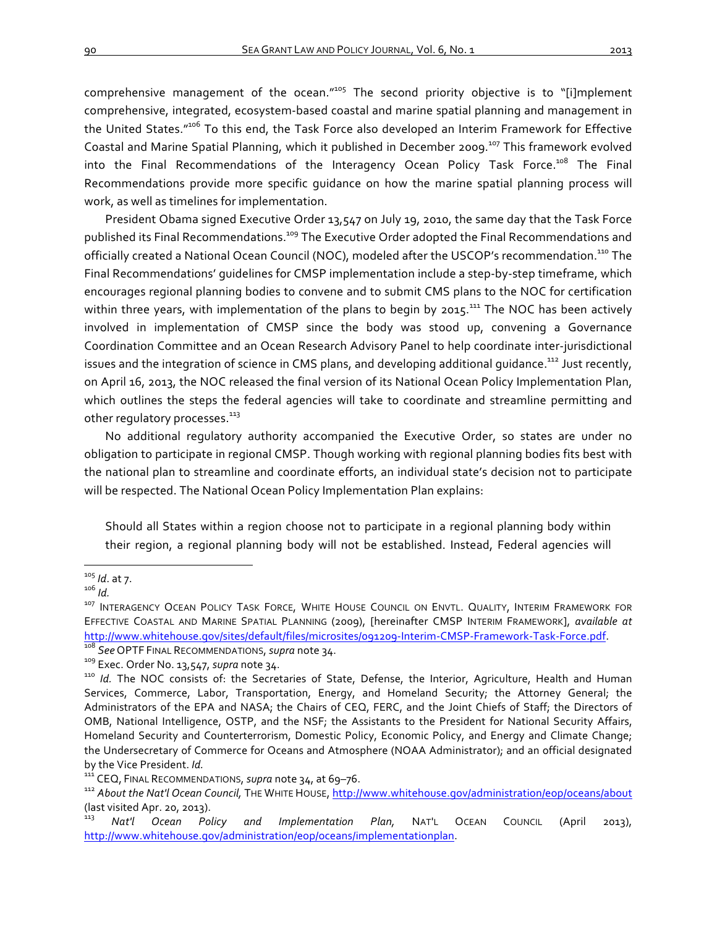comprehensive management of the ocean." $105$  The second priority objective is to "[i]mplement comprehensive, integrated, ecosystem-based coastal and marine spatial planning and management in the United States."<sup>106</sup> To this end, the Task Force also developed an Interim Framework for Effective

Coastal and Marine Spatial Planning, which it published in December 2009.<sup>107</sup> This framework evolved into the Final Recommendations of the Interagency Ocean Policy Task Force.<sup>108</sup> The Final Recommendations provide more specific quidance on how the marine spatial planning process will work, as well as timelines for implementation.

President Obama signed Executive Order 13,547 on July 19, 2010, the same day that the Task Force published its Final Recommendations.<sup>109</sup> The Executive Order adopted the Final Recommendations and officially created a National Ocean Council (NOC), modeled after the USCOP's recommendation.<sup>110</sup> The Final Recommendations' guidelines for CMSP implementation include a step-by-step timeframe, which encourages regional planning bodies to convene and to submit CMS plans to the NOC for certification within three years, with implementation of the plans to begin by  $2015$ .<sup>111</sup> The NOC has been actively involved in implementation of CMSP since the body was stood up, convening a Governance Coordination Committee and an Ocean Research Advisory Panel to help coordinate inter-jurisdictional issues and the integration of science in CMS plans, and developing additional quidance.<sup>112</sup> Just recently, on April 16, 2013, the NOC released the final version of its National Ocean Policy Implementation Plan, which outlines the steps the federal agencies will take to coordinate and streamline permitting and other regulatory processes.<sup>113</sup>

No additional regulatory authority accompanied the Executive Order, so states are under no obligation to participate in regional CMSP. Though working with regional planning bodies fits best with the national plan to streamline and coordinate efforts, an individual state's decision not to participate will be respected. The National Ocean Policy Implementation Plan explains:

Should all States within a region choose not to participate in a regional planning body within their region, a regional planning body will not be established. Instead, Federal agencies will

<sup>&</sup>lt;sup>105</sup> /d. at 7.<br><sup>106</sup> /d.<br><sup>107</sup> Interagency Ocean Policy Task Force, White House Council on Envtl. Quality, Interim Framework for EFFECTIVE COASTAL AND MARINE SPATIAL PLANNING (2009), [hereinafter CMSP INTERIM FRAMEWORK], *available at* http://www.whitehouse.gov/sites/default/files/microsites/og1209-Interim-CMSP-Framework-Task-Force.pdf.<br><sup>108</sup> See OPTF FINAL RECOMMENDATIONS, *supra* note 34.<br><sup>109</sup> Exec. Order No. 13,547, *supra* note 34.<br><sup>110</sup> Id. The NOC

Services, Commerce, Labor, Transportation, Energy, and Homeland Security; the Attorney General; the Administrators of the EPA and NASA; the Chairs of CEQ, FERC, and the Joint Chiefs of Staff; the Directors of OMB, National Intelligence, OSTP, and the NSF; the Assistants to the President for National Security Affairs, Homeland Security and Counterterrorism, Domestic Policy, Economic Policy, and Energy and Climate Change; the Undersecretary of Commerce for Oceans and Atmosphere (NOAA Administrator); and an official designated by the Vice President. *Id.*<br><sup>111</sup> CEQ, FINAL RECOMMENDATIONS, *supra* note 34, at 69–76.<br><sup>112</sup> About the Nat'l Ocean Council, THE WHITE HOUSE, http://www.whitehouse.gov/administration/eop/oceans/about

<sup>(</sup>last visited Apr. 20, 2013).<br> $\frac{113}{113}$  Nat'l Ocean Po

<sup>&</sup>lt;sup>113</sup> Nat'l Ocean Policy and Implementation Plan, NAT<sup>'</sup>L OCEAN COUNCIL (April 2013), http://www.whitehouse.gov/administration/eop/oceans/implementationplan.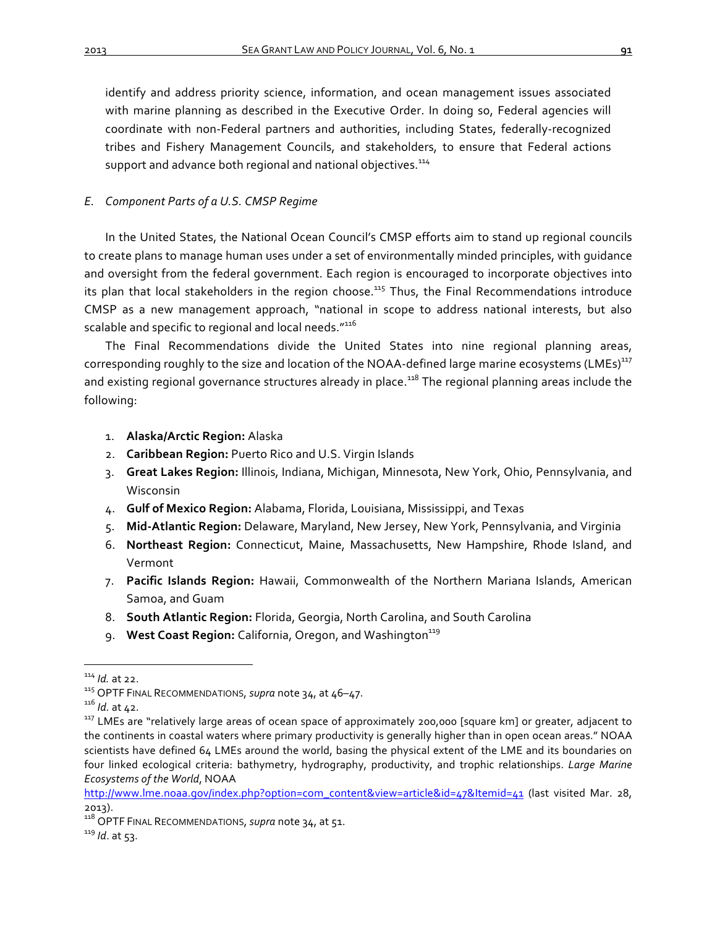identify and address priority science, information, and ocean management issues associated with marine planning as described in the Executive Order. In doing so, Federal agencies will coordinate with non-Federal partners and authorities, including States, federally-recognized tribes and Fishery Management Councils, and stakeholders, to ensure that Federal actions support and advance both regional and national objectives.<sup>114</sup>

# *E. Component Parts of a U.S. CMSP Regime*

In the United States, the National Ocean Council's CMSP efforts aim to stand up regional councils to create plans to manage human uses under a set of environmentally minded principles, with guidance and oversight from the federal government. Each region is encouraged to incorporate objectives into its plan that local stakeholders in the region choose.<sup>115</sup> Thus, the Final Recommendations introduce CMSP as a new management approach, "national in scope to address national interests, but also scalable and specific to regional and local needs."<sup>116</sup>

The Final Recommendations divide the United States into nine regional planning areas, corresponding roughly to the size and location of the NOAA-defined large marine ecosystems (LMEs)<sup>117</sup> and existing regional governance structures already in place.<sup>118</sup> The regional planning areas include the following:

- 1. **Alaska/Arctic Region:** Alaska
- 2. **Caribbean Region:** Puerto Rico and U.S. Virgin Islands
- 3. Great Lakes Region: Illinois, Indiana, Michigan, Minnesota, New York, Ohio, Pennsylvania, and Wisconsin
- 4. **Gulf of Mexico Region:** Alabama, Florida, Louisiana, Mississippi, and Texas
- 5. Mid-Atlantic Region: Delaware, Maryland, New Jersey, New York, Pennsylvania, and Virginia
- 6. Northeast Region: Connecticut, Maine, Massachusetts, New Hampshire, Rhode Island, and Vermont
- 7. Pacific Islands Region: Hawaii, Commonwealth of the Northern Mariana Islands, American Samoa, and Guam
- 8. **South Atlantic Region:** Florida, Georgia, North Carolina, and South Carolina
- 9. **West Coast Region:** California, Oregon, and Washington<sup>119</sup>

<sup>&</sup>lt;sup>114</sup> *Id.* at 22.<br><sup>115</sup> OPTF FINAL RECOMMENDATIONS, *supra* note 34, at 46–47.<br><sup>116</sup> *Id.* at 42.<br><sup>117</sup> LMEs are "relatively large areas of ocean space of approximately 200,000 [square km] or greater, adjacent to the continents in coastal waters where primary productivity is generally higher than in open ocean areas." NOAA scientists have defined 64 LMEs around the world, basing the physical extent of the LME and its boundaries on four linked ecological criteria: bathymetry, hydrography, productivity, and trophic relationships. *Large Marine Ecosystems of the World*, NOAA

http://www.lme.noaa.gov/index.php?option=com\_content&view=article&id=47&Itemid=41 (last visited Mar. 28, 2013). 

<sup>&</sup>lt;sup>118</sup> OPTF FINAL RECOMMENDATIONS, *supra* note 34, at 51.<br><sup>119</sup> Id. at 53.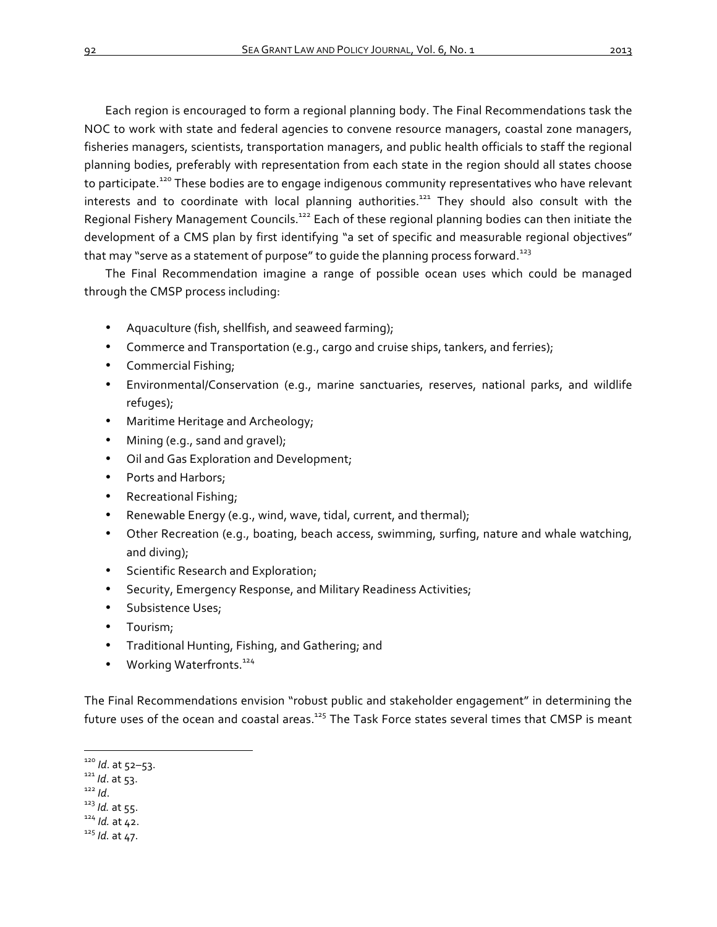Each region is encouraged to form a regional planning body. The Final Recommendations task the NOC to work with state and federal agencies to convene resource managers, coastal zone managers, fisheries managers, scientists, transportation managers, and public health officials to staff the regional planning bodies, preferably with representation from each state in the region should all states choose to participate.<sup>120</sup> These bodies are to engage indigenous community representatives who have relevant interests and to coordinate with local planning authorities.<sup>121</sup> They should also consult with the Regional Fishery Management Councils.<sup>122</sup> Each of these regional planning bodies can then initiate the development of a CMS plan by first identifying "a set of specific and measurable regional objectives" that may "serve as a statement of purpose" to guide the planning process forward.<sup>123</sup>

The Final Recommendation imagine a range of possible ocean uses which could be managed through the CMSP process including:

- Aquaculture (fish, shellfish, and seaweed farming);
- Commerce and Transportation (e.g., cargo and cruise ships, tankers, and ferries);
- Commercial Fishing;
- Environmental/Conservation (e.g., marine sanctuaries, reserves, national parks, and wildlife refuges);
- Maritime Heritage and Archeology;
- Mining (e.g., sand and gravel);
- Oil and Gas Exploration and Development;
- Ports and Harbors;
- Recreational Fishing;
- Renewable Energy (e.g., wind, wave, tidal, current, and thermal);
- Other Recreation (e.g., boating, beach access, swimming, surfing, nature and whale watching, and diving);
- Scientific Research and Exploration;
- Security, Emergency Response, and Military Readiness Activities;
- Subsistence Uses;
- Tourism;
- Traditional Hunting, Fishing, and Gathering; and
- Working Waterfronts.<sup>124</sup>

The Final Recommendations envision "robust public and stakeholder engagement" in determining the future uses of the ocean and coastal areas.<sup>125</sup> The Task Force states several times that CMSP is meant

<sup>&</sup>lt;sup>120</sup> *Id.* at 52–53.<br><sup>121</sup> *Id.* at 53.<br><sup>122</sup> *Id.* at 55.<br><sup>124</sup> *Id.* at 42.<br><sup>125</sup> *Id.* at 47.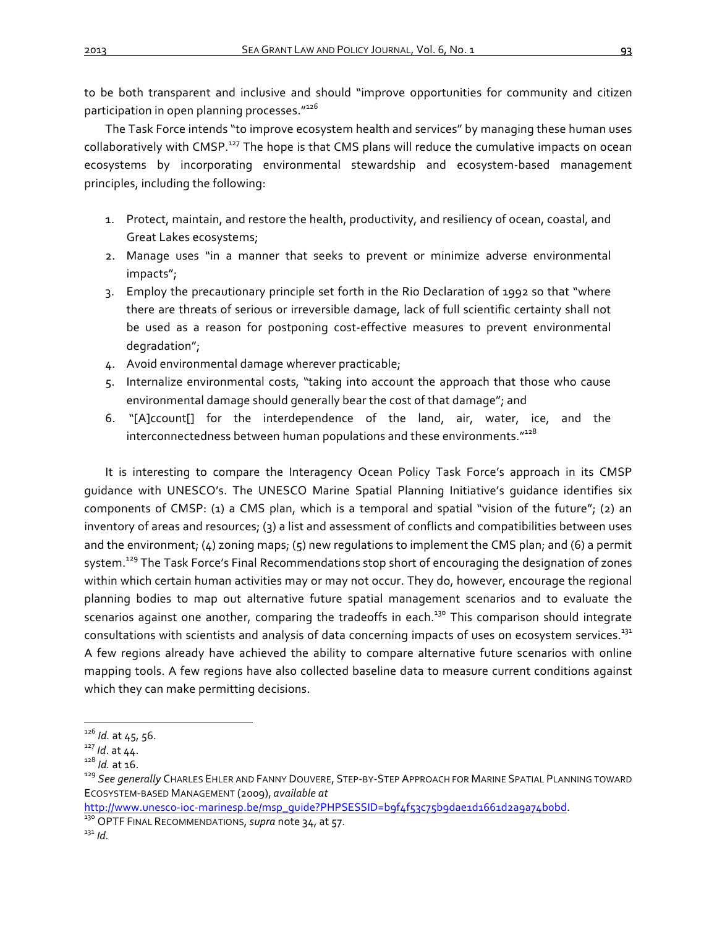to be both transparent and inclusive and should "improve opportunities for community and citizen participation in open planning processes."126

The Task Force intends "to improve ecosystem health and services" by managing these human uses collaboratively with CMSP.<sup>127</sup> The hope is that CMS plans will reduce the cumulative impacts on ocean ecosystems by incorporating environmental stewardship and ecosystem-based management principles, including the following:

- 1. Protect, maintain, and restore the health, productivity, and resiliency of ocean, coastal, and Great Lakes ecosystems;
- 2. Manage uses "in a manner that seeks to prevent or minimize adverse environmental impacts";
- 3. Employ the precautionary principle set forth in the Rio Declaration of 1992 so that "where there are threats of serious or irreversible damage, lack of full scientific certainty shall not be used as a reason for postponing cost-effective measures to prevent environmental degradation";
- 4. Avoid environmental damage wherever practicable;
- 5. Internalize environmental costs, "taking into account the approach that those who cause environmental damage should generally bear the cost of that damage"; and
- 6. "[A]ccount[] for the interdependence of the land, air, water, ice, and the interconnectedness between human populations and these environments."<sup>128</sup>

It is interesting to compare the Interagency Ocean Policy Task Force's approach in its CMSP guidance with UNESCO's. The UNESCO Marine Spatial Planning Initiative's quidance identifies six components of CMSP: (1) a CMS plan, which is a temporal and spatial "vision of the future"; (2) an inventory of areas and resources; (3) a list and assessment of conflicts and compatibilities between uses and the environment;  $(4)$  zoning maps;  $(5)$  new regulations to implement the CMS plan; and  $(6)$  a permit system.<sup>129</sup> The Task Force's Final Recommendations stop short of encouraging the designation of zones within which certain human activities may or may not occur. They do, however, encourage the regional planning bodies to map out alternative future spatial management scenarios and to evaluate the scenarios against one another, comparing the tradeoffs in each.<sup>130</sup> This comparison should integrate consultations with scientists and analysis of data concerning impacts of uses on ecosystem services.<sup>131</sup> A few regions already have achieved the ability to compare alternative future scenarios with online mapping tools. A few regions have also collected baseline data to measure current conditions against which they can make permitting decisions.

<sup>&</sup>lt;sup>126</sup> *Id.* at 45, 56.<br><sup>127</sup> *Id.* at 44.<br><sup>128</sup> *Id.* at 16.<br><sup>129</sup> See generally Charles Ehler and Fanny Douvere, Step-by-Step Approach for Marine Spatial Planning toward ECOSYSTEM-BASED MANAGEMENT (2009), *available at*

http://www.unesco-ioc-marinesp.be/msp\_guide?PHPSESSID=b9f4f53c75b9dae1d1661d2a9a74bobd.<br><sup>130</sup> OPTF FINAL RECOMMENDATIONS, *supra* note 34, at 57.<br><sup>131</sup> *Id*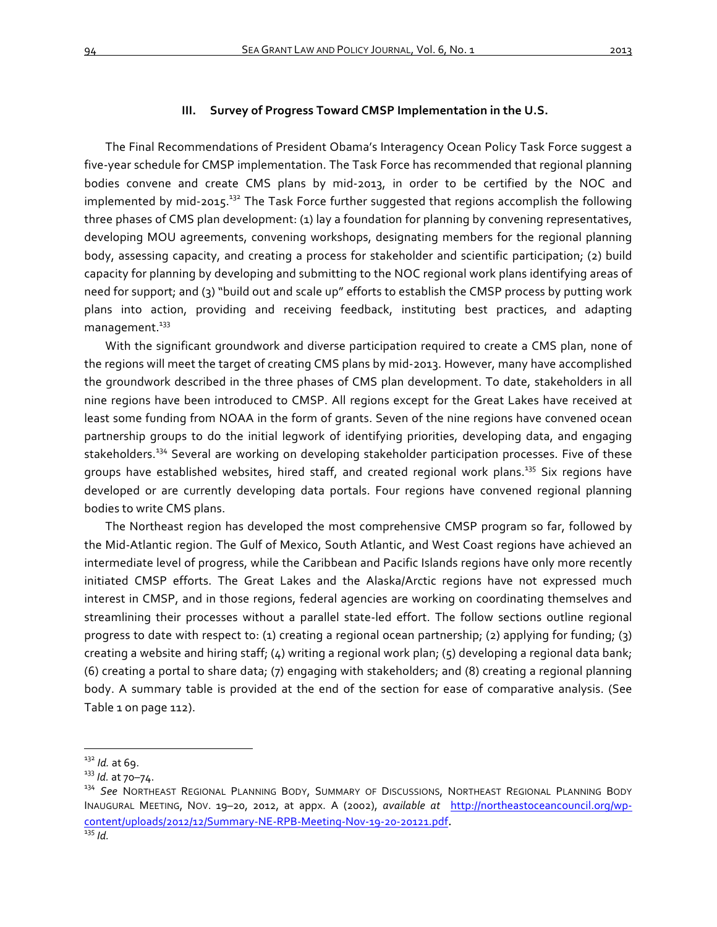#### **III.** Survey of Progress Toward CMSP Implementation in the U.S.

The Final Recommendations of President Obama's Interagency Ocean Policy Task Force suggest a five-year schedule for CMSP implementation. The Task Force has recommended that regional planning bodies convene and create CMS plans by mid-2013, in order to be certified by the NOC and implemented by mid-2015.<sup>132</sup> The Task Force further suggested that regions accomplish the following three phases of CMS plan development: (1) lay a foundation for planning by convening representatives, developing MOU agreements, convening workshops, designating members for the regional planning body, assessing capacity, and creating a process for stakeholder and scientific participation; (2) build capacity for planning by developing and submitting to the NOC regional work plans identifying areas of need for support; and (3) "build out and scale up" efforts to establish the CMSP process by putting work plans into action, providing and receiving feedback, instituting best practices, and adapting management.<sup>133</sup>

With the significant groundwork and diverse participation required to create a CMS plan, none of the regions will meet the target of creating CMS plans by mid-2013. However, many have accomplished the groundwork described in the three phases of CMS plan development. To date, stakeholders in all nine regions have been introduced to CMSP. All regions except for the Great Lakes have received at least some funding from NOAA in the form of grants. Seven of the nine regions have convened ocean partnership groups to do the initial legwork of identifying priorities, developing data, and engaging stakeholders.<sup>334</sup> Several are working on developing stakeholder participation processes. Five of these groups have established websites, hired staff, and created regional work plans.<sup>135</sup> Six regions have developed or are currently developing data portals. Four regions have convened regional planning bodies to write CMS plans.

The Northeast region has developed the most comprehensive CMSP program so far, followed by the Mid-Atlantic region. The Gulf of Mexico, South Atlantic, and West Coast regions have achieved an intermediate level of progress, while the Caribbean and Pacific Islands regions have only more recently initiated CMSP efforts. The Great Lakes and the Alaska/Arctic regions have not expressed much interest in CMSP, and in those regions, federal agencies are working on coordinating themselves and streamlining their processes without a parallel state-led effort. The follow sections outline regional progress to date with respect to: (1) creating a regional ocean partnership; (2) applying for funding; (3) creating a website and hiring staff;  $(4)$  writing a regional work plan;  $(5)$  developing a regional data bank; (6) creating a portal to share data; (7) engaging with stakeholders; and (8) creating a regional planning body. A summary table is provided at the end of the section for ease of comparative analysis. (See Table 1 on page 112).

<sup>&</sup>lt;sup>132</sup> Id. at 69.<br><sup>133</sup> Id. at 70–74.<br><sup>134</sup> See NORTHEAST REGIONAL PLANNING BODY, SUMMARY OF DISCUSSIONS, NORTHEAST REGIONAL PLANNING BODY INAUGURAL MEETING, NOV. 19-20, 2012, at appx. A (2002), *available at http://northeastoceancouncil.org/wp*content/uploads/2012/12/Summary-NE-RPB-Meeting-Nov-19-20-20121.pdf. <sup>135</sup> *Id.*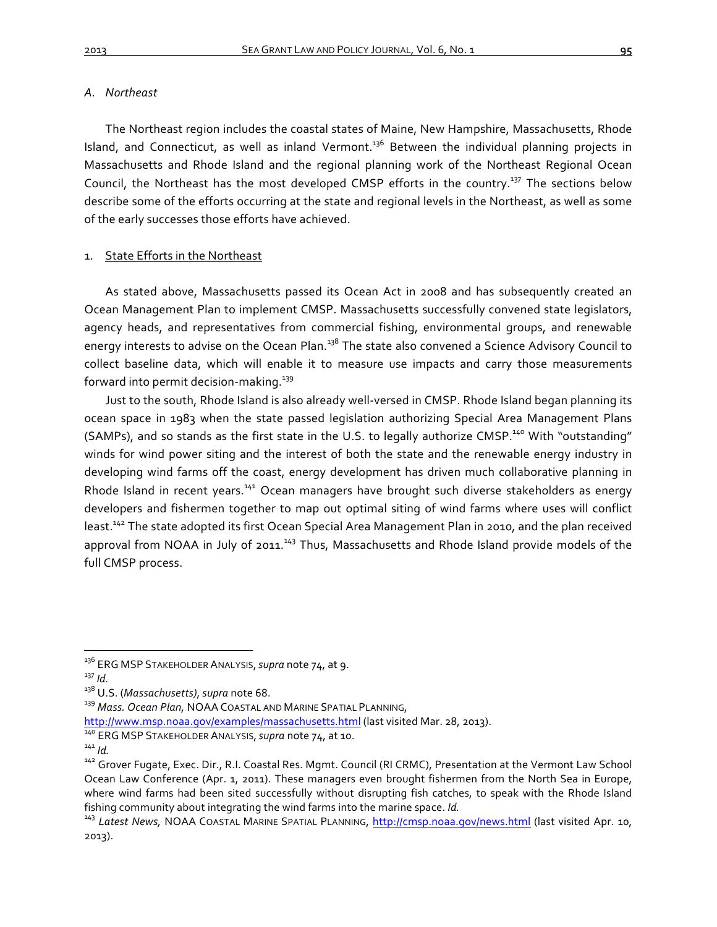## *A. Northeast*

The Northeast region includes the coastal states of Maine, New Hampshire, Massachusetts, Rhode Island, and Connecticut, as well as inland Vermont.<sup>136</sup> Between the individual planning projects in Massachusetts and Rhode Island and the regional planning work of the Northeast Regional Ocean Council, the Northeast has the most developed CMSP efforts in the country.<sup>137</sup> The sections below describe some of the efforts occurring at the state and regional levels in the Northeast, as well as some of the early successes those efforts have achieved.

# 1. State Efforts in the Northeast

As stated above, Massachusetts passed its Ocean Act in 2008 and has subsequently created an Ocean Management Plan to implement CMSP. Massachusetts successfully convened state legislators, agency heads, and representatives from commercial fishing, environmental groups, and renewable energy interests to advise on the Ocean Plan.<sup>138</sup> The state also convened a Science Advisory Council to collect baseline data, which will enable it to measure use impacts and carry those measurements forward into permit decision-making. $139$ 

Just to the south, Rhode Island is also already well-versed in CMSP. Rhode Island began planning its ocean space in 1983 when the state passed legislation authorizing Special Area Management Plans (SAMPs), and so stands as the first state in the U.S. to legally authorize CMSP.<sup>140</sup> With "outstanding" winds for wind power siting and the interest of both the state and the renewable energy industry in developing wind farms off the coast, energy development has driven much collaborative planning in Rhode Island in recent years.<sup>141</sup> Ocean managers have brought such diverse stakeholders as energy developers and fishermen together to map out optimal siting of wind farms where uses will conflict least.<sup>142</sup> The state adopted its first Ocean Special Area Management Plan in 2010, and the plan received approval from NOAA in July of 2011.<sup>143</sup> Thus, Massachusetts and Rhode Island provide models of the full CMSP process.

<sup>&</sup>lt;sup>136</sup> ERG MSP STAKEHOLDER ANALYSIS, supra note 74, at 9.<br><sup>137</sup> Id

<sup>&</sup>lt;sup>138</sup> U.S. (*Massachusetts), supra* note 68.<br><sup>139</sup> *Mass. Ocean Plan,* NOAA COASTAL AND MARINE SPATIAL PLANNING,

http://www.msp.noaa.gov/examples/massachusetts.html (last visited Mar. 28, 2013).<br><sup>140</sup> ERG MSP STAKEHOLDER ANALYSIS, *supra* note 74, at 10.<br><sup>142</sup> Grover Fugate, Exec. Dir., R.I. Coastal Res. Mgmt. Council (RI CRMC), Pres Ocean Law Conference (Apr. 1, 2011). These managers even brought fishermen from the North Sea in Europe, where wind farms had been sited successfully without disrupting fish catches, to speak with the Rhode Island fishing community about integrating the wind farms into the marine space. *Id.* 143 *Latest News,* NOAA Coastal Marine Spatial Planning, http://cmsp.noaa.gov/news.html (last visited Apr. 10,

<sup>2013).</sup>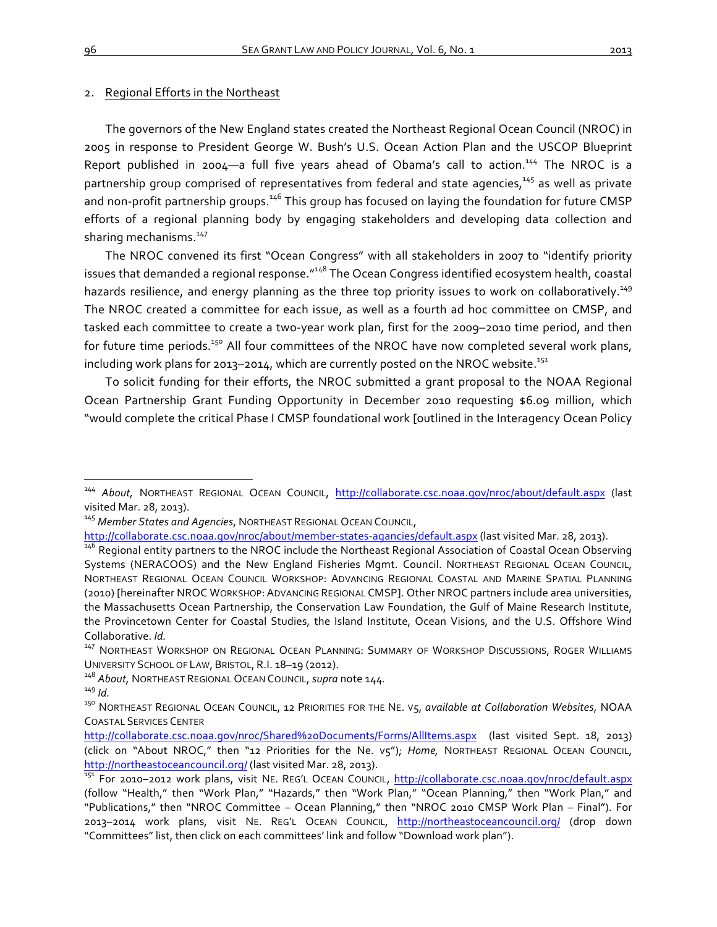#### 2. Regional Efforts in the Northeast

The governors of the New England states created the Northeast Regional Ocean Council (NROC) in 2005 in response to President George W. Bush's U.S. Ocean Action Plan and the USCOP Blueprint Report published in 2004-a full five years ahead of Obama's call to action.<sup>144</sup> The NROC is a partnership group comprised of representatives from federal and state agencies,<sup>145</sup> as well as private and non-profit partnership groups.<sup>146</sup> This group has focused on laying the foundation for future CMSP efforts of a regional planning body by engaging stakeholders and developing data collection and sharing mechanisms.<sup>147</sup>

The NROC convened its first "Ocean Congress" with all stakeholders in 2007 to "identify priority issues that demanded a regional response."<sup>148</sup> The Ocean Congress identified ecosystem health, coastal hazards resilience, and energy planning as the three top priority issues to work on collaboratively.<sup>149</sup> The NROC created a committee for each issue, as well as a fourth ad hoc committee on CMSP, and tasked each committee to create a two-year work plan, first for the 2009-2010 time period, and then for future time periods.<sup>150</sup> All four committees of the NROC have now completed several work plans, including work plans for  $2013-2014$ , which are currently posted on the NROC website.<sup>151</sup>

To solicit funding for their efforts, the NROC submitted a grant proposal to the NOAA Regional Ocean Partnership Grant Funding Opportunity in December 2010 requesting \$6.09 million, which "would complete the critical Phase I CMSP foundational work [outlined in the Interagency Ocean Policy

<sup>&</sup>lt;sup>144</sup> About, NORTHEAST REGIONAL OCEAN COUNCIL, http://collaborate.csc.noaa.gov/nroc/about/default.aspx (last visited Mar. 28, 2013).

<sup>&</sup>lt;sup>145</sup> Member States and Agencies, NORTHEAST REGIONAL OCEAN COUNCIL,

http://collaborate.csc.noaa.gov/nroc/about/member-states-agancies/default.aspx (last visited Mar. 28, 2013).

<sup>146</sup> Regional entity partners to the NROC include the Northeast Regional Association of Coastal Ocean Observing Systems (NERACOOS) and the New England Fisheries Mgmt. Council. NORTHEAST REGIONAL OCEAN COUNCIL, NORTHEAST REGIONAL OCEAN COUNCIL WORKSHOP: ADVANCING REGIONAL COASTAL AND MARINE SPATIAL PLANNING (2010) [hereinafter NROC WORKSHOP: ADVANCING REGIONAL CMSP]. Other NROC partners include area universities, the Massachusetts Ocean Partnership, the Conservation Law Foundation, the Gulf of Maine Research Institute, the Provincetown Center for Coastal Studies, the Island Institute, Ocean Visions, and the U.S. Offshore Wind Collaborative. *Id.*<br><sup>147</sup> NORTHEAST WORKSHOP ON REGIONAL OCEAN PLANNING: SUMMARY OF WORKSHOP DISCUSSIONS, ROGER WILLIAMS

UNIVERSITY SCHOOL OF LAW, BRISTOL, R.I. 18-19 (2012).

<sup>&</sup>lt;sup>148</sup> About, NORTHEAST REGIONAL OCEAN COUNCIL, *supra* note 144.<br><sup>149</sup> Id.<br><sup>150</sup> NORTHEAST REGIONAL OCEAN COUNCIL, 12 PRIORITIES FOR THE NE. V5, *available at Collaboration Websites*, NOAA **COASTAL SERVICES CENTER** 

http://collaborate.csc.noaa.gov/nroc/Shared%20Documents/Forms/AllItems.aspx (last visited Sept. 18, 2013) (click on "About NROC," then "12 Priorities for the Ne. v5"); *Home*, NORTHEAST REGIONAL OCEAN COUNCIL, http://northeastoceancouncil.org/ (last visited Mar. 28, 2013).<br><sup>151</sup> For 2010–2012 work plans, visit NE. REG'L OCEAN COUNCIL, <u>http://collaborate.csc.noaa.gov/nroc/default.aspx</u>

<sup>(</sup>follow "Health," then "Work Plan," "Hazards," then "Work Plan," "Ocean Planning," then "Work Plan," and "Publications," then "NROC Committee - Ocean Planning," then "NROC 2010 CMSP Work Plan - Final"). For 2013-2014 work plans, visit NE. REG'L OCEAN COUNCIL, http://northeastoceancouncil.org/ (drop down "Committees" list, then click on each committees' link and follow "Download work plan").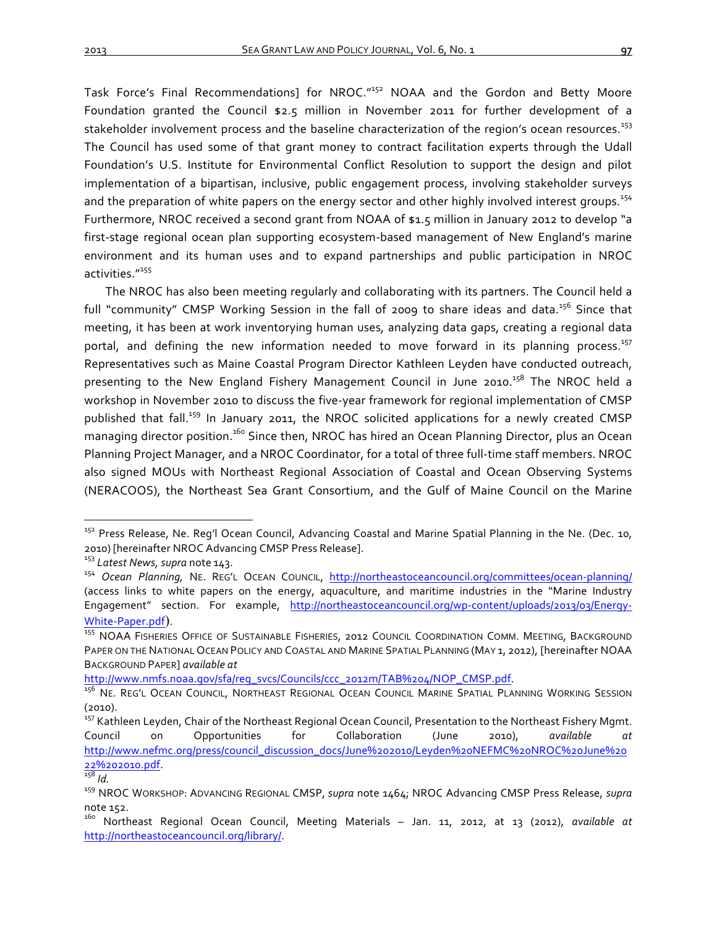Task Force's Final Recommendations] for NROC."<sup>152</sup> NOAA and the Gordon and Betty Moore Foundation granted the Council \$2.5 million in November 2011 for further development of a stakeholder involvement process and the baseline characterization of the region's ocean resources.<sup>153</sup> The Council has used some of that grant money to contract facilitation experts through the Udall Foundation's U.S. Institute for Environmental Conflict Resolution to support the design and pilot implementation of a bipartisan, inclusive, public engagement process, involving stakeholder surveys and the preparation of white papers on the energy sector and other highly involved interest groups.<sup>154</sup> Furthermore, NROC received a second grant from NOAA of \$1.5 million in January 2012 to develop "a first-stage regional ocean plan supporting ecosystem-based management of New England's marine environment and its human uses and to expand partnerships and public participation in NROC activities."<sup>155</sup>

The NROC has also been meeting regularly and collaborating with its partners. The Council held a full "community" CMSP Working Session in the fall of 2009 to share ideas and data.<sup>156</sup> Since that meeting, it has been at work inventorying human uses, analyzing data gaps, creating a regional data portal, and defining the new information needed to move forward in its planning process.<sup>157</sup> Representatives such as Maine Coastal Program Director Kathleen Leyden have conducted outreach, presenting to the New England Fishery Management Council in June 2010.<sup>158</sup> The NROC held a workshop in November 2010 to discuss the five-year framework for regional implementation of CMSP published that fall.<sup>159</sup> In January 2011, the NROC solicited applications for a newly created CMSP managing director position.<sup>160</sup> Since then, NROC has hired an Ocean Planning Director, plus an Ocean Planning Project Manager, and a NROC Coordinator, for a total of three full-time staff members. NROC also signed MOUs with Northeast Regional Association of Coastal and Ocean Observing Systems (NERACOOS), the Northeast Sea Grant Consortium, and the Gulf of Maine Council on the Marine

<sup>&</sup>lt;sup>152</sup> Press Release, Ne. Reg'l Ocean Council, Advancing Coastal and Marine Spatial Planning in the Ne. (Dec. 10, 2010) [hereinafter NROC Advancing CMSP Press Release].<br><sup>153</sup> Latest News, supra note 143.<br><sup>154</sup> Ocean Planning, NE. REG'L OCEAN COUNCIL, http://northeastoceancouncil.org/committees/ocean-planning/

<sup>(</sup>access links to white papers on the energy, aquaculture, and maritime industries in the "Marine Industry Engagement" section. For example, http://northeastoceancouncil.org/wp-content/uploads/2013/03/Energy-White-Paper.pdf).<br><sup>155</sup> NOAA FISHERIES OFFICE OF SUSTAINABLE FISHERIES, 2012 COUNCIL COORDINATION COMM. MEETING, BACKGROUND

PAPER ON THE NATIONAL OCEAN POLICY AND COASTAL AND MARINE SPATIAL PLANNING (MAY 1, 2012), [hereinafter NOAA BACKGROUND PAPER] *available at* 

http://www.nmfs.noaa.gov/sfa/reg\_svcs/Councils/ccc\_2012m/TAB%204/NOP\_CMSP.pdf.<br><sup>156</sup> Ne. Reg'l Ocean Council, Northeast Regional Ocean Council Marine Spatial Planning Working Session (2010).

<sup>&</sup>lt;sup>157</sup> Kathleen Leyden, Chair of the Northeast Regional Ocean Council, Presentation to the Northeast Fishery Mgmt. Council on Opportunities for Collaboration (June 2010), *available at* http://www.nefmc.org/press/council\_discussion\_docs/June%202010/Leyden%20NEFMC%20NROC%20June%20 22%202010.pdf.<br><sup>158</sup> Id.<br><sup>159</sup> NROC WORKSHOP: ADVANCING REGIONAL CMSP, *supra* note 1464; NROC Advancing CMSP Press Release, *supra* 

note 152.<br><sup>160</sup> Northeast Regional Ocean Council, Meeting Materials – Jan. 11, 2012, at 13 (2012), *available at* 

http://northeastoceancouncil.org/library/.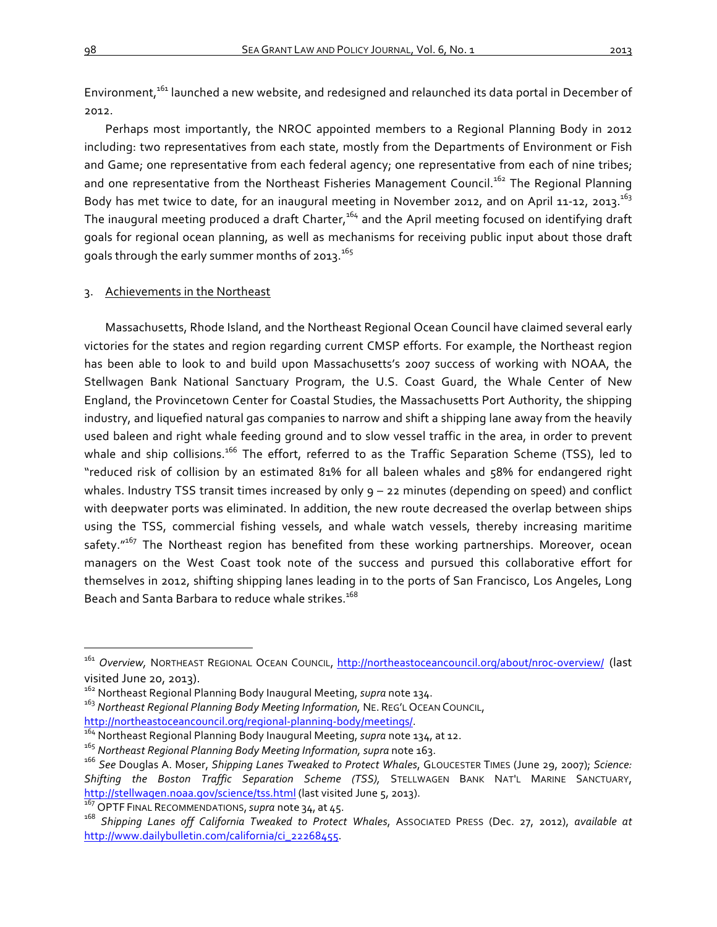Environment,<sup>161</sup> launched a new website, and redesigned and relaunched its data portal in December of 2012. 

Perhaps most importantly, the NROC appointed members to a Regional Planning Body in 2012 including: two representatives from each state, mostly from the Departments of Environment or Fish and Game; one representative from each federal agency; one representative from each of nine tribes; and one representative from the Northeast Fisheries Management Council.<sup>162</sup> The Regional Planning Body has met twice to date, for an inaugural meeting in November 2012, and on April 11-12, 2013. $^{16_3}$ The inaugural meeting produced a draft Charter,<sup>164</sup> and the April meeting focused on identifying draft goals for regional ocean planning, as well as mechanisms for receiving public input about those draft goals through the early summer months of  $2013$ .<sup>165</sup>

# 3. Achievements in the Northeast

Massachusetts, Rhode Island, and the Northeast Regional Ocean Council have claimed several early victories for the states and region regarding current CMSP efforts. For example, the Northeast region has been able to look to and build upon Massachusetts's 2007 success of working with NOAA, the Stellwagen Bank National Sanctuary Program, the U.S. Coast Guard, the Whale Center of New England, the Provincetown Center for Coastal Studies, the Massachusetts Port Authority, the shipping industry, and liquefied natural gas companies to narrow and shift a shipping lane away from the heavily used baleen and right whale feeding ground and to slow vessel traffic in the area, in order to prevent whale and ship collisions.<sup>166</sup> The effort, referred to as the Traffic Separation Scheme (TSS), led to "reduced risk of collision by an estimated 81% for all baleen whales and 58% for endangered right whales. Industry TSS transit times increased by only  $q - 22$  minutes (depending on speed) and conflict with deepwater ports was eliminated. In addition, the new route decreased the overlap between ships using the TSS, commercial fishing vessels, and whale watch vessels, thereby increasing maritime safety." $167$  The Northeast region has benefited from these working partnerships. Moreover, ocean managers on the West Coast took note of the success and pursued this collaborative effort for themselves in 2012, shifting shipping lanes leading in to the ports of San Francisco, Los Angeles, Long Beach and Santa Barbara to reduce whale strikes.<sup>168</sup>

<sup>162</sup> Northeast Regional Planning Body Inaugural Meeting, *supra* note 134.

 $\overline{a}$ 

<sup>&</sup>lt;sup>161</sup> Overview, NORTHEAST REGIONAL OCEAN COUNCIL, http://northeastoceancouncil.org/about/nroc-overview/ (last visited June 20, 2013).

<sup>&</sup>lt;sup>163</sup> Northeast Regional Planning Body Meeting Information, NE. REG'L OCEAN COUNCIL, http://northeastoceancouncil.org/regional-planning-body/meetings/.<br><sup>164</sup> Northeast Regional Planning Body Inaugural Meeting, *supra* note 134, at 12.<br><sup>165</sup> Northeast Regional Planning Body Meeting Information, *supra* note

<sup>&</sup>lt;sup>166</sup> See Douglas A. Moser, Shipping Lanes Tweaked to Protect Whales, GLOUCESTER TIMES (June 29, 2007); Science: Shifting the Boston Traffic Separation Scheme (TSS), STELLWAGEN BANK NAT'L MARINE SANCTUARY, http://stellwagen.noaa.gov/science/tss.html (last visited June 5, 2013).<br><sup>167</sup> OPTF FINAL RECOMMENDATIONS, supra note 34, at 45.

<sup>&</sup>lt;sup>168</sup> Shipping Lanes off California Tweaked to Protect Whales, Associated Press (Dec. 27, 2012), available at http://www.dailybulletin.com/california/ci\_22268455.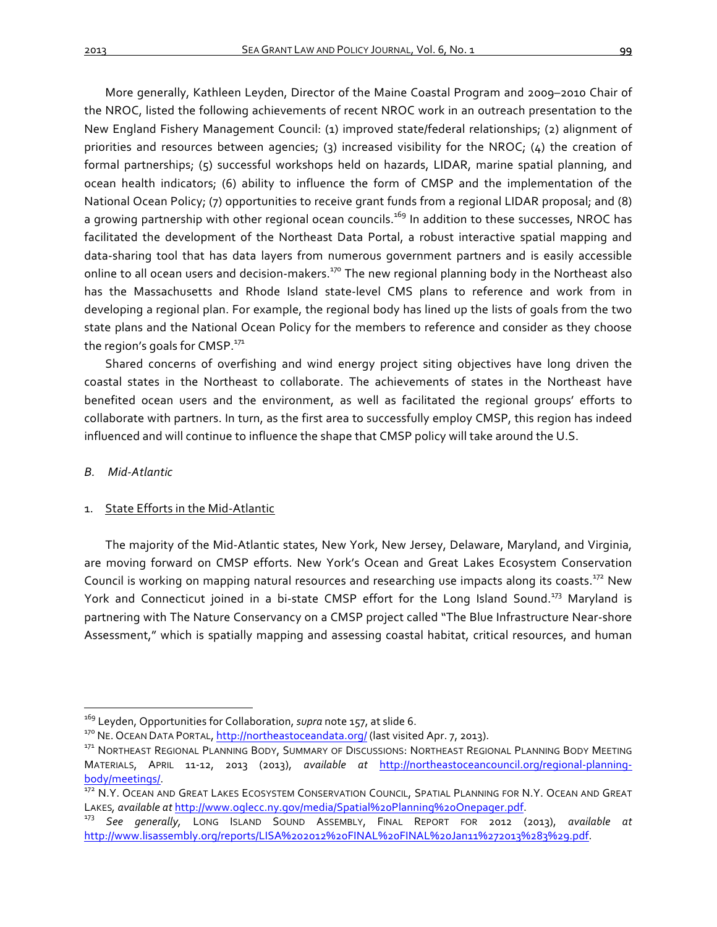More generally, Kathleen Leyden, Director of the Maine Coastal Program and 2009-2010 Chair of the NROC, listed the following achievements of recent NROC work in an outreach presentation to the New England Fishery Management Council: (1) improved state/federal relationships; (2) alignment of priorities and resources between agencies; (3) increased visibility for the NROC; (4) the creation of formal partnerships; (5) successful workshops held on hazards, LIDAR, marine spatial planning, and ocean health indicators; (6) ability to influence the form of CMSP and the implementation of the National Ocean Policy; (7) opportunities to receive grant funds from a regional LIDAR proposal; and (8) a growing partnership with other regional ocean councils.<sup>169</sup> In addition to these successes, NROC has facilitated the development of the Northeast Data Portal, a robust interactive spatial mapping and data-sharing tool that has data layers from numerous government partners and is easily accessible online to all ocean users and decision-makers.<sup>170</sup> The new regional planning body in the Northeast also has the Massachusetts and Rhode Island state-level CMS plans to reference and work from in developing a regional plan. For example, the regional body has lined up the lists of goals from the two state plans and the National Ocean Policy for the members to reference and consider as they choose the region's goals for CMSP. $^{171}$ 

Shared concerns of overfishing and wind energy project siting objectives have long driven the coastal states in the Northeast to collaborate. The achievements of states in the Northeast have benefited ocean users and the environment, as well as facilitated the regional groups' efforts to collaborate with partners. In turn, as the first area to successfully employ CMSP, this region has indeed influenced and will continue to influence the shape that CMSP policy will take around the U.S.

#### *B. Mid-Atlantic*

# 1. State Efforts in the Mid-Atlantic

The majority of the Mid-Atlantic states, New York, New Jersey, Delaware, Maryland, and Virginia, are moving forward on CMSP efforts. New York's Ocean and Great Lakes Ecosystem Conservation Council is working on mapping natural resources and researching use impacts along its coasts.<sup>172</sup> New York and Connecticut joined in a bi-state CMSP effort for the Long Island Sound.<sup>173</sup> Maryland is partnering with The Nature Conservancy on a CMSP project called "The Blue Infrastructure Near-shore Assessment," which is spatially mapping and assessing coastal habitat, critical resources, and human

<sup>&</sup>lt;sup>169</sup> Leyden, Opportunities for Collaboration, *supra* note 157, at slide 6.<br><sup>170</sup> NE. Ocean Data Portal, <u>http://northeastoceandata.org/</u> (last visited Apr. 7, 2013).<br><sup>171</sup> NORTHEAST REGIONAL PLANNING BODY, SUMMARY OF DIS MATERIALS, APRIL 11-12, 2013 (2013), *available at* http://northeastoceancouncil.org/regional-planningbody/meetings/.<br><sup>172</sup> N.Y. Ocean and Great Lakes Ecosystem Conservation Council, Spatial Planning for N.Y. Ocean and Great

LAKES, *available at http://www.oglecc.ny.gov/media/Spatial%20Planning%20Onepager.pdf.* 173 *See* generally, LONG ISLAND SOUND ASSEMBLY, FINAL REPORT FOR 2012 (2013), *available* at

http://www.lisassembly.org/reports/LISA%202012%20FINAL%20FINAL%20Jan11%272013%283%29.pdf.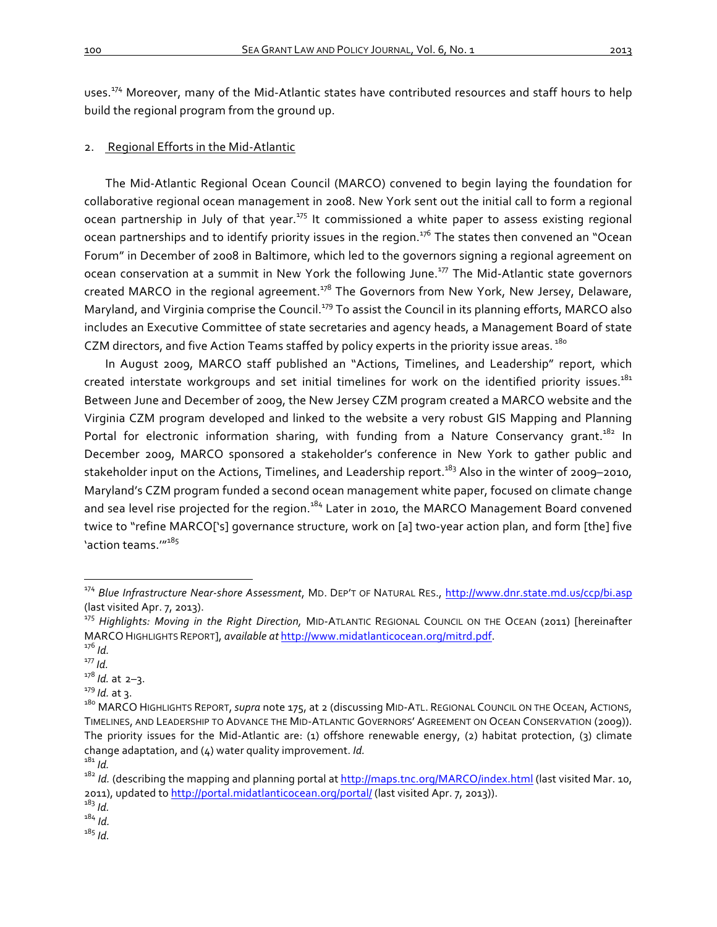uses.<sup>174</sup> Moreover, many of the Mid-Atlantic states have contributed resources and staff hours to help build the regional program from the ground up.

# 2. Regional Efforts in the Mid-Atlantic

The Mid-Atlantic Regional Ocean Council (MARCO) convened to begin laying the foundation for collaborative regional ocean management in 2008. New York sent out the initial call to form a regional ocean partnership in July of that year.<sup>175</sup> It commissioned a white paper to assess existing regional ocean partnerships and to identify priority issues in the region.<sup>176</sup> The states then convened an "Ocean Forum" in December of 2008 in Baltimore, which led to the governors signing a regional agreement on ocean conservation at a summit in New York the following June.<sup>177</sup> The Mid-Atlantic state governors created MARCO in the regional agreement.<sup>178</sup> The Governors from New York, New Jersey, Delaware, Maryland, and Virginia comprise the Council.<sup>179</sup> To assist the Council in its planning efforts, MARCO also includes an Executive Committee of state secretaries and agency heads, a Management Board of state CZM directors, and five Action Teams staffed by policy experts in the priority issue areas.<sup>180</sup>

In August 2009, MARCO staff published an "Actions, Timelines, and Leadership" report, which created interstate workgroups and set initial timelines for work on the identified priority issues.<sup>181</sup> Between June and December of 2009, the New Jersey CZM program created a MARCO website and the Virginia CZM program developed and linked to the website a very robust GIS Mapping and Planning Portal for electronic information sharing, with funding from a Nature Conservancy qrant.<sup>182</sup> In December 2009, MARCO sponsored a stakeholder's conference in New York to gather public and stakeholder input on the Actions, Timelines, and Leadership report.<sup>183</sup> Also in the winter of 2009–2010, Maryland's CZM program funded a second ocean management white paper, focused on climate change and sea level rise projected for the region.<sup>184</sup> Later in 2010, the MARCO Management Board convened twice to "refine MARCO['s] governance structure, work on [a] two-year action plan, and form [the] five 'action teams<sup>"185</sup>

<sup>&</sup>lt;sup>174</sup> Blue Infrastructure Near-shore Assessment, MD. DEP'T OF NATURAL RES., http://www.dnr.state.md.us/ccp/bi.asp (last visited Apr. 7, 2013).

<sup>&</sup>lt;sup>175</sup> Highlights: Moving in the Right Direction, MID-ATLANTIC REGIONAL COUNCIL ON THE OCEAN (2011) [hereinafter MARCO HIGHLIGHTS REPORT], *available at* <u>http://www.midatlanticocean.org/mitrd.pdf</u>.<br><sup>176</sup> *Id.* 177 *Id.* 177 *Id.* 178 *Id.* at 2–3.

<sup>&</sup>lt;sup>179</sup> *Id.* at 3.<br><sup>180</sup> MARCO HIGHLIGHTS REPORT, *supra* note 175, at 2 (discussing MID-ATL. REGIONAL COUNCIL ON THE OCEAN, ACTIONS, TIMELINES, AND LEADERSHIP TO ADVANCE THE MID-ATLANTIC GOVERNORS' AGREEMENT ON OCEAN CONSERVATION (2009)). The priority issues for the Mid-Atlantic are: (1) offshore renewable energy, (2) habitat protection, (3) climate change adaptation, and (4) water quality improvement. *Id.*<br><sup>181</sup> *Id.*<br><sup>182</sup> *Id.* (describing the mapping and planning portal at <u>http://maps.tnc.org/MARCO/index.html</u> (last visited Mar. 10,

<sup>2011),</sup> updated to http://portal.midatlanticocean.org/portal/ (last visited Apr. 7, 2013)).

<sup>183</sup> *Id.*

<sup>184</sup> *Id.*

<sup>185</sup> *Id.*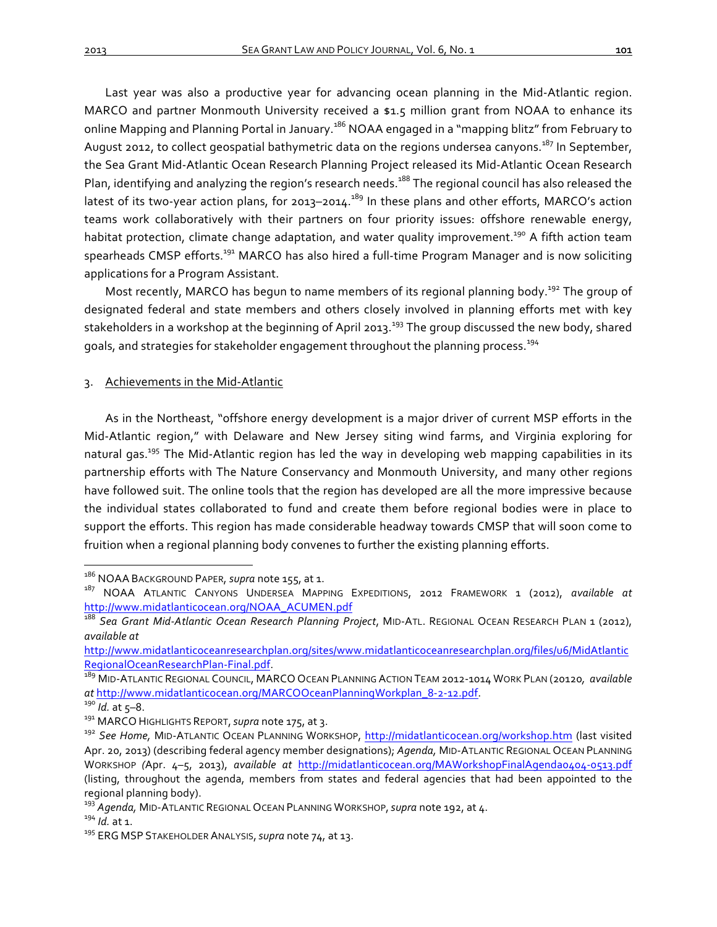Last year was also a productive year for advancing ocean planning in the Mid-Atlantic region. MARCO and partner Monmouth University received a \$1.5 million grant from NOAA to enhance its online Mapping and Planning Portal in January.<sup>186</sup> NOAA engaged in a "mapping blitz" from February to August 2012, to collect geospatial bathymetric data on the regions undersea canyons.<sup>187</sup> In September, the Sea Grant Mid-Atlantic Ocean Research Planning Project released its Mid-Atlantic Ocean Research Plan, identifying and analyzing the region's research needs.<sup>188</sup> The regional council has also released the latest of its two-year action plans, for 2013–2014.<sup>189</sup> In these plans and other efforts, MARCO's action teams work collaboratively with their partners on four priority issues: offshore renewable energy, habitat protection, climate change adaptation, and water quality improvement.<sup>190</sup> A fifth action team spearheads CMSP efforts.<sup>191</sup> MARCO has also hired a full-time Program Manager and is now soliciting applications for a Program Assistant.

Most recently, MARCO has begun to name members of its regional planning body.<sup>192</sup> The group of designated federal and state members and others closely involved in planning efforts met with key stakeholders in a workshop at the beginning of April 2013.<sup>193</sup> The group discussed the new body, shared goals, and strategies for stakeholder engagement throughout the planning process.<sup>194</sup>

3. Achievements in the Mid-Atlantic

As in the Northeast, "offshore energy development is a major driver of current MSP efforts in the Mid-Atlantic region," with Delaware and New Jersey siting wind farms, and Virginia exploring for natural gas.<sup>195</sup> The Mid-Atlantic region has led the way in developing web mapping capabilities in its partnership efforts with The Nature Conservancy and Monmouth University, and many other regions have followed suit. The online tools that the region has developed are all the more impressive because the individual states collaborated to fund and create them before regional bodies were in place to support the efforts. This region has made considerable headway towards CMSP that will soon come to fruition when a regional planning body convenes to further the existing planning efforts.

<sup>&</sup>lt;sup>186</sup> NOAA BACKGROUND PAPER, *supra* note 155, at 1.

<sup>&</sup>lt;sup>187</sup> NOAA ATLANTIC CANYONS UNDERSEA MAPPING EXPEDITIONS, 2012 FRAMEWORK 1 (2012), *available at* http://www.midatlanticocean.org/NOAA\_ACUMEN.pdf

<sup>188</sup> *Sea Grant Mid-Atlantic Ocean Research Planning Project*, MID-ATL. REGIONAL OCEAN RESEARCH PLAN 1 (2012), *available at*

http://www.midatlanticoceanresearchplan.org/sites/www.midatlanticoceanresearchplan.org/files/u6/MidAtlantic RegionalOceanResearchPlan-Final.pdf.<br><sup>189</sup> MID-ATLANTIC REGIONAL COUNCIL, MARCO OCEAN PLANNING ACTION TEAM 2012-1014 WORK PLAN (20120, *available* 

at http://www.midatlanticocean.org/MARCOOceanPlanningWorkplan\_8-2-12.pdf.<br><sup>190</sup> /d. at 5–8.<br><sup>191</sup> MARCO HIGHLIGHTS REPORT, *supra* note 175, at 3.<br><sup>192</sup> See Home, MID-ATLANTIC OCEAN PLANNING WORKSHOP, http://midatlanticoce

Apr. 20, 2013) (describing federal agency member designations); *Agenda*, MID-ATLANTIC REGIONAL OCEAN PLANNING WORKSHOP (Apr. 4-5, 2013), *available at http://midatlanticocean.org/MAWorkshopFinalAgenda0404-0513.pdf* (listing, throughout the agenda, members from states and federal agencies that had been appointed to the regional planning body).

<sup>&</sup>lt;sup>193</sup> *Agenda, M*ID-ATLANTIC REGIONAL OCEAN PLANNING WORKSHOP, *supra* note 192, at 4.<br><sup>194</sup> *Id.* at 1.<br><sup>195</sup> ERG MSP STAKEHOLDER ANALYSIS, *supra* note 74, at 13.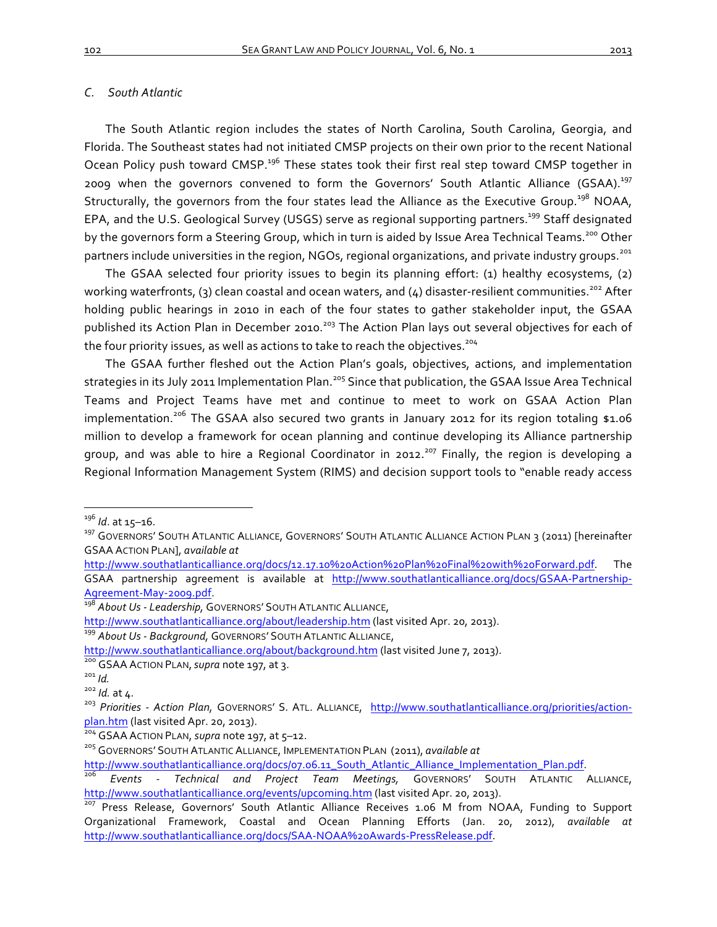# *C. South Atlantic*

The South Atlantic region includes the states of North Carolina, South Carolina, Georgia, and Florida. The Southeast states had not initiated CMSP projects on their own prior to the recent National Ocean Policy push toward CMSP.<sup>196</sup> These states took their first real step toward CMSP together in 2009 when the governors convened to form the Governors' South Atlantic Alliance (GSAA).<sup>197</sup> Structurally, the governors from the four states lead the Alliance as the Executive Group.<sup>198</sup> NOAA, EPA, and the U.S. Geological Survey (USGS) serve as regional supporting partners.<sup>199</sup> Staff designated by the governors form a Steering Group, which in turn is aided by Issue Area Technical Teams.<sup>200</sup> Other partners include universities in the region, NGOs, regional organizations, and private industry groups.<sup>201</sup>

The GSAA selected four priority issues to begin its planning effort: (1) healthy ecosystems, (2) working waterfronts, (3) clean coastal and ocean waters, and (4) disaster-resilient communities.<sup>202</sup> After holding public hearings in 2010 in each of the four states to gather stakeholder input, the GSAA published its Action Plan in December 2010.<sup>203</sup> The Action Plan lays out several objectives for each of the four priority issues, as well as actions to take to reach the objectives.<sup>204</sup>

The GSAA further fleshed out the Action Plan's goals, objectives, actions, and implementation strategies in its July 2011 Implementation Plan.<sup>205</sup> Since that publication, the GSAA Issue Area Technical Teams and Project Teams have met and continue to meet to work on GSAA Action Plan implementation.<sup>206</sup> The GSAA also secured two grants in January 2012 for its region totaling \$1.06 million to develop a framework for ocean planning and continue developing its Alliance partnership group, and was able to hire a Regional Coordinator in 2012.<sup>207</sup> Finally, the region is developing a Regional Information Management System (RIMS) and decision support tools to "enable ready access

http://www.southatlanticalliance.org/docs/12.17.10%20Action%20Plan%20Final%20with%20Forward.pdf. The GSAA partnership agreement is available at http://www.southatlanticalliance.org/docs/GSAA-Partnership-Agreement-May-2009.pdf.<br><sup>198</sup> About Us - Leadership, GOVERNORS' SOUTH ATLANTIC ALLIANCE,

<sup>&</sup>lt;sup>196</sup> Id. at 15–16.<br><sup>197</sup> GOVERNORS' SOUTH ATLANTIC ALLIANCE, GOVERNORS' SOUTH ATLANTIC ALLIANCE ACTION PLAN 3 (2011) [hereinafter GSAA ACTION PLAN], *available at* 

http://www.southatlanticalliance.org/about/leadership.htm (last visited Apr. 20, 2013).<br><sup>199</sup> About Us - Background, GOVERNORS' SOUTH ATLANTIC ALLIANCE,

http://www.southatlanticalliance.org/about/background.htm (last visited June 7, 2013).<br><sup>200</sup> GSAA ACTION PLAN, *supra* note 197, at 3.<br><sup>201</sup> Id.<br><sup>202</sup> Id. at 4.<br><sup>203</sup> Priorities - Action Plan, GOVERNORS' S. ATL. ALLIANCE, pl<mark>an.htm</mark> (last visited Apr. 20, 2013).<br><sup>204</sup> GSAA ACTION PLAN, *supra* note 197, at 5–12.<br><sup>205</sup> GOVERNORS' SOUTH ATLANTIC ALLIANCE, IMPLEMENTATION PLAN (2011), *available at* 

http://www.southatlanticalliance.org/docs/07.06.11\_South\_Atlantic\_Alliance\_Implementation\_Plan.pdf.<br><sup>206</sup> *Events - Technical and Project Team Meetings*, GOVERNORS' SOUTH ATLANTIC ALLIANCE,

http://www.southatlanticalliance.org/events/upcoming.htm (last visited Apr. 20, 2013).<br><sup>207</sup> Press Release, Governors' South Atlantic Alliance Receives 1.06 M from NOAA, Funding to Support

Organizational Framework, Coastal and Ocean Planning Efforts (Jan. 20, 2012), *available at* http://www.southatlanticalliance.org/docs/SAA-NOAA%20Awards-PressRelease.pdf.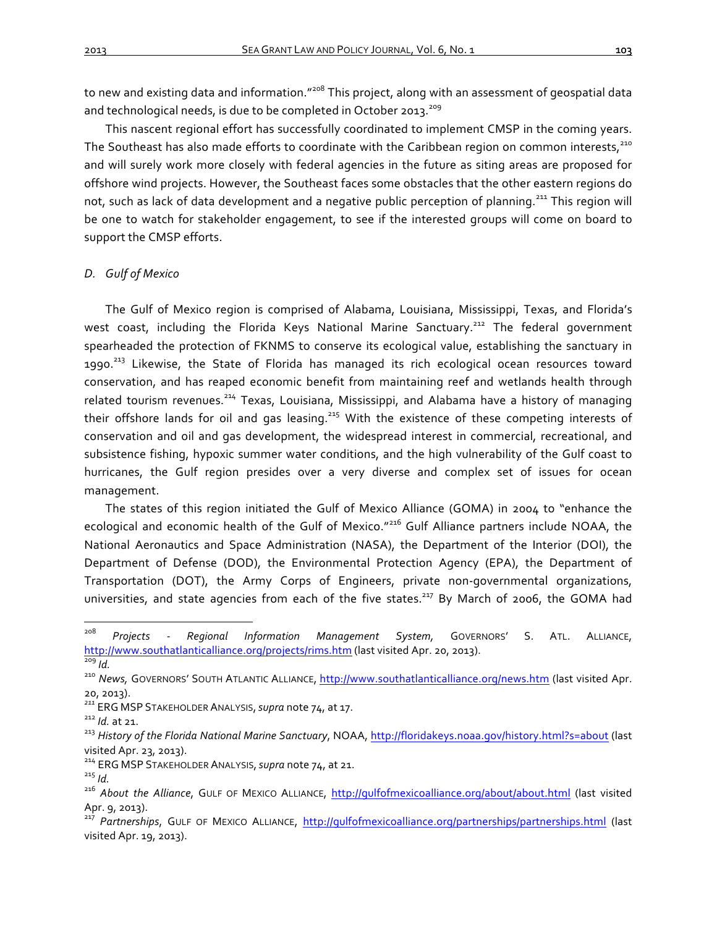to new and existing data and information."<sup>208</sup> This project, along with an assessment of geospatial data and technological needs, is due to be completed in October 2013.<sup>209</sup>

This nascent regional effort has successfully coordinated to implement CMSP in the coming years. The Southeast has also made efforts to coordinate with the Caribbean region on common interests,<sup>210</sup> and will surely work more closely with federal agencies in the future as siting areas are proposed for offshore wind projects. However, the Southeast faces some obstacles that the other eastern regions do not, such as lack of data development and a negative public perception of planning.<sup>211</sup> This region will be one to watch for stakeholder engagement, to see if the interested groups will come on board to support the CMSP efforts.

# *D. Gulf of Mexico*

The Gulf of Mexico region is comprised of Alabama, Louisiana, Mississippi, Texas, and Florida's west coast, including the Florida Keys National Marine Sanctuary.<sup>212</sup> The federal government spearheaded the protection of FKNMS to conserve its ecological value, establishing the sanctuary in 1990.<sup>213</sup> Likewise, the State of Florida has managed its rich ecological ocean resources toward conservation, and has reaped economic benefit from maintaining reef and wetlands health through related tourism revenues.<sup>214</sup> Texas, Louisiana, Mississippi, and Alabama have a history of managing their offshore lands for oil and gas leasing.<sup>215</sup> With the existence of these competing interests of conservation and oil and gas development, the widespread interest in commercial, recreational, and subsistence fishing, hypoxic summer water conditions, and the high vulnerability of the Gulf coast to hurricanes, the Gulf region presides over a very diverse and complex set of issues for ocean management.

The states of this region initiated the Gulf of Mexico Alliance (GOMA) in 2004 to "enhance the ecological and economic health of the Gulf of Mexico."<sup>216</sup> Gulf Alliance partners include NOAA, the National Aeronautics and Space Administration (NASA), the Department of the Interior (DOI), the Department of Defense (DOD), the Environmental Protection Agency (EPA), the Department of Transportation (DOT), the Army Corps of Engineers, private non-governmental organizations, universities, and state agencies from each of the five states.<sup>217</sup> By March of 2006, the GOMA had

<sup>208</sup> *Projects - Regional Information Management System,*  GOVERNORS' S. ATL. ALLIANCE, http://www.southatlanticalliance.org/projects/rims.htm (last visited Apr. 20, 2013).<br><sup>209</sup> *Id.* 200 *Id.* 200 *News,* GovERNORS' SOUTH ATLANTIC ALLIANCE, http://www.southatlanticalliance.org/news.htm (last visited Apr.

<sup>20, 2013).</sup>

<sup>&</sup>lt;sup>211</sup> ERG MSP STAKEHOLDER ANALYSIS, *supra* note 74, at 17.<br><sup>212</sup> Id. at 21.<br><sup>213</sup> History of the Florida National Marine Sanctuary, NOAA, <u>http://floridakeys.noaa.gov/history.html?s=about</u> (last visited Apr. 23, 2013).

<sup>&</sup>lt;sup>214</sup> ERG MSP STAKEHOLDER ANALYSIS, *supra* note 74, at 21.<br><sup>215</sup> *Id.*<br><sup>216</sup> About the Alliance, GULF OF MEXICO ALLIANCE, <u>http://gulfofmexicoalliance.org/about/about.html</u> (last visited Apr. 9, 2013).

<sup>&</sup>lt;sup>217</sup> Partnerships, GULF OF MEXICO ALLIANCE, http://gulfofmexicoalliance.org/partnerships/partnerships.html (last visited Apr. 19, 2013).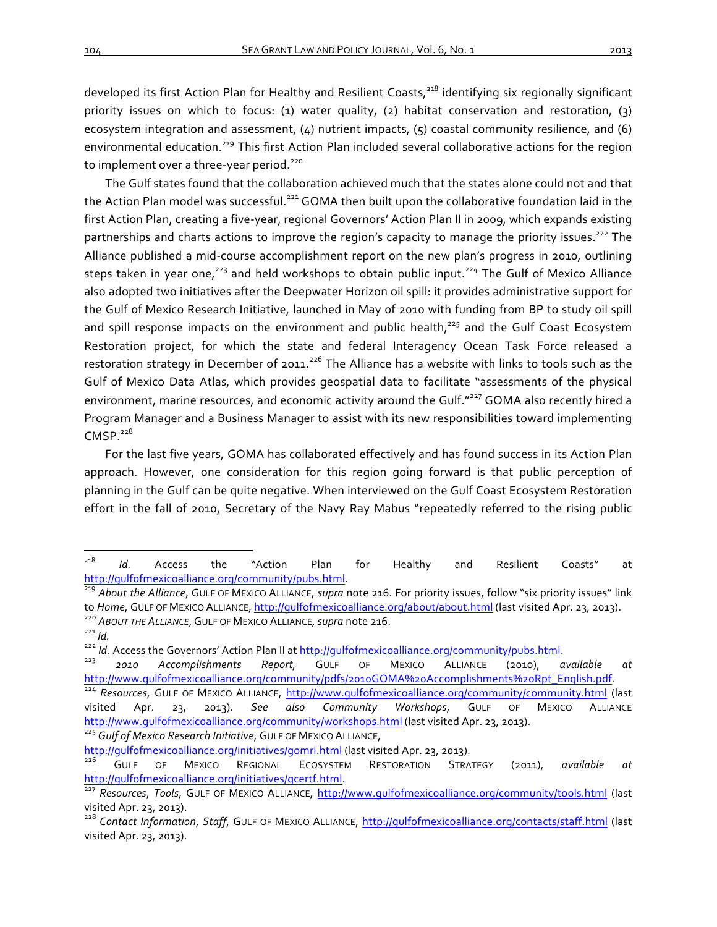developed its first Action Plan for Healthy and Resilient Coasts,<sup>218</sup> identifying six regionally significant priority issues on which to focus: (1) water quality, (2) habitat conservation and restoration, (3) ecosystem integration and assessment,  $(4)$  nutrient impacts,  $(5)$  coastal community resilience, and  $(6)$ environmental education.<sup>219</sup> This first Action Plan included several collaborative actions for the region to implement over a three-year period.<sup>220</sup>

The Gulf states found that the collaboration achieved much that the states alone could not and that the Action Plan model was successful.<sup>221</sup> GOMA then built upon the collaborative foundation laid in the first Action Plan, creating a five-year, regional Governors' Action Plan II in 2009, which expands existing partnerships and charts actions to improve the region's capacity to manage the priority issues.<sup>222</sup> The Alliance published a mid-course accomplishment report on the new plan's progress in 2010, outlining steps taken in year one,<sup>223</sup> and held workshops to obtain public input.<sup>224</sup> The Gulf of Mexico Alliance also adopted two initiatives after the Deepwater Horizon oil spill: it provides administrative support for the Gulf of Mexico Research Initiative, launched in May of 2010 with funding from BP to study oil spill and spill response impacts on the environment and public health,<sup>225</sup> and the Gulf Coast Ecosystem Restoration project, for which the state and federal Interagency Ocean Task Force released a restoration strategy in December of 2011.<sup>226</sup> The Alliance has a website with links to tools such as the Gulf of Mexico Data Atlas, which provides geospatial data to facilitate "assessments of the physical environment, marine resources, and economic activity around the Gulf."<sup>227</sup> GOMA also recently hired a Program Manager and a Business Manager to assist with its new responsibilities toward implementing CMSP. $228$ 

For the last five years, GOMA has collaborated effectively and has found success in its Action Plan approach. However, one consideration for this region going forward is that public perception of planning in the Gulf can be quite negative. When interviewed on the Gulf Coast Ecosystem Restoration effort in the fall of 2010, Secretary of the Navy Ray Mabus "repeatedly referred to the rising public

z<sup>218</sup> *Id.* Access the "Action Plan for Healthy and Resilient Coasts" at http://gulfofmexicoalliance.org/community/pubs.html.<br><sup>219</sup> About the Alliance, GULF OF MEXICO ALLIANCE, *supra* note 216. For priority issues, follow "six priority issues" link

to Home, GULF OF MEXICO ALLIANCE, <u>http://gulfofmexicoalliance.org/about/about.html</u> (last visited Apr. 23, 2013).<br>
<sup>220</sup> ABOUT THE ALLIANCE, GULF OF MEXICO ALLIANCE, *supra* note 216.<br>
<sup>222</sup> Id. Access the Governors' Acti

http://www.gulfofmexicoalliance.org/community/pdfs/2010GOMA%20Accomplishments%20Rpt\_English.pdf.<br><sup>224</sup> Resources, GULF OF MEXICO ALLIANCE, <u>http://www.gulfofmexicoalliance.org/community/community.html</u> (last

visited Apr. 23, 2013). *See also Community Workshops*, GULF OF MEXICO ALLIANCE http://www.gulfofmexicoalliance.org/community/workshops.html (last visited Apr. 23, 2013).<br><sup>225</sup> *Gulf of Mexico Research Initiative*, GULF OF MEXICO ALLIANCE,

http://gulfofmexicoalliance.org/initiatives/gomri.html (last visited Apr. 23, 2013).<br><sup>226</sup> GULF OF MEXICO REGIONAL ECOSYSTEM RESTORATION STRATEGY (2011), *available at* http://gulfofmexicoalliance.org/initiatives/gcertf.html.<br><sup>227</sup> *Resources, Tools, GULF OF MEXICO ALLIANCE, http://www.gulfofmexicoalliance.org/community/tools.html (last* 

visited Apr. 23, 2013).

<sup>&</sup>lt;sup>228</sup> Contact Information, Staff, GULF OF MEXICO ALLIANCE, http://gulfofmexicoalliance.org/contacts/staff.html (last visited Apr. 23, 2013).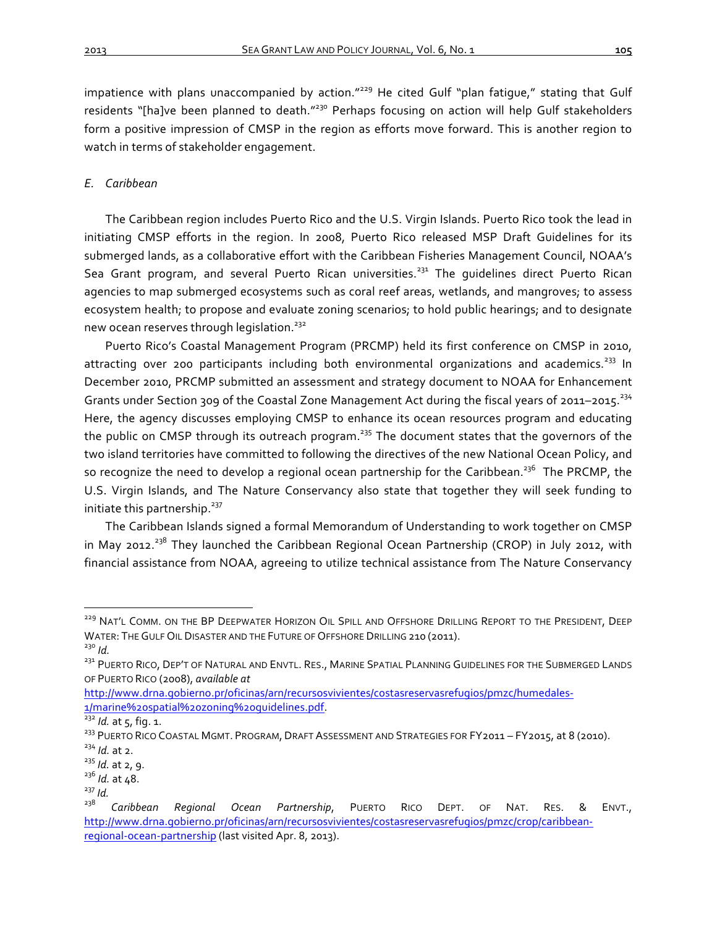impatience with plans unaccompanied by action."<sup>229</sup> He cited Gulf "plan fatique," stating that Gulf residents "[ha]ve been planned to death."<sup>230</sup> Perhaps focusing on action will help Gulf stakeholders form a positive impression of CMSP in the region as efforts move forward. This is another region to watch in terms of stakeholder engagement.

# *E. Caribbean*

The Caribbean region includes Puerto Rico and the U.S. Virgin Islands. Puerto Rico took the lead in initiating CMSP efforts in the region. In 2008, Puerto Rico released MSP Draft Guidelines for its submerged lands, as a collaborative effort with the Caribbean Fisheries Management Council, NOAA's Sea Grant program, and several Puerto Rican universities.<sup>231</sup> The quidelines direct Puerto Rican agencies to map submerged ecosystems such as coral reef areas, wetlands, and mangroves; to assess ecosystem health; to propose and evaluate zoning scenarios; to hold public hearings; and to designate new ocean reserves through legislation.<sup>232</sup>

Puerto Rico's Coastal Management Program (PRCMP) held its first conference on CMSP in 2010, attracting over 200 participants including both environmental organizations and academics.<sup>233</sup> In December 2010, PRCMP submitted an assessment and strategy document to NOAA for Enhancement Grants under Section 309 of the Coastal Zone Management Act during the fiscal years of 2011–2015.<sup>234</sup> Here, the agency discusses employing CMSP to enhance its ocean resources program and educating the public on CMSP through its outreach program.<sup>235</sup> The document states that the governors of the two island territories have committed to following the directives of the new National Ocean Policy, and so recognize the need to develop a regional ocean partnership for the Caribbean.<sup>236</sup> The PRCMP, the U.S. Virgin Islands, and The Nature Conservancy also state that together they will seek funding to initiate this partnership.<sup>237</sup>

The Caribbean Islands signed a formal Memorandum of Understanding to work together on CMSP in May 2012.<sup>238</sup> They launched the Caribbean Regional Ocean Partnership (CROP) in July 2012, with financial assistance from NOAA, agreeing to utilize technical assistance from The Nature Conservancy

<sup>&</sup>lt;sup>229</sup> NAT'L COMM. ON THE BP DEEPWATER HORIZON OIL SPILL AND OFFSHORE DRILLING REPORT TO THE PRESIDENT, DEEP WATER: THE GULF OIL DISASTER AND THE FUTURE OF OFFSHORE DRILLING 210 (2011).<br><sup>230</sup> *Id.*<br><sup>231</sup> PUERTO RICO, DEP'T OF NATURAL AND ENVTL. RES., MARINE SPATIAL PLANNING GUIDELINES FOR THE SUBMERGED LANDS

OF PUERTO RICO (2008), *available at*

http://www.drna.gobierno.pr/oficinas/arn/recursosvivientes/costasreservasrefugios/pmzc/humedales-

<sup>1/</sup>marine%2ospatial%2ozoning%2oguidelines.pdf.<br><sup>232</sup> *Id.* at 5, fig. 1.<br><sup>233</sup> PUERTO RICO COASTAL MGMT. PROGRAM, DRAFT ASSESSMENT AND STRATEGIES FOR FY2011 – FY2015, at 8 (2010).<br><sup>234</sup> *Id.* at 2.<br><sup>235</sup> *Id.* at 2, 9.

 $\frac{^{236}}{^{237}}$  *Id.* at 48.<br> $\frac{^{237}}{^{238}}$  *Caribb* 

<sup>238</sup> *Caribbean Regional Ocean Partnership*, PUERTO RICO DEPT. OF NAT. RES. & ENVT., http://www.drna.gobierno.pr/oficinas/arn/recursosvivientes/costasreservasrefugios/pmzc/crop/caribbeanregional-ocean-partnership (last visited Apr. 8, 2013).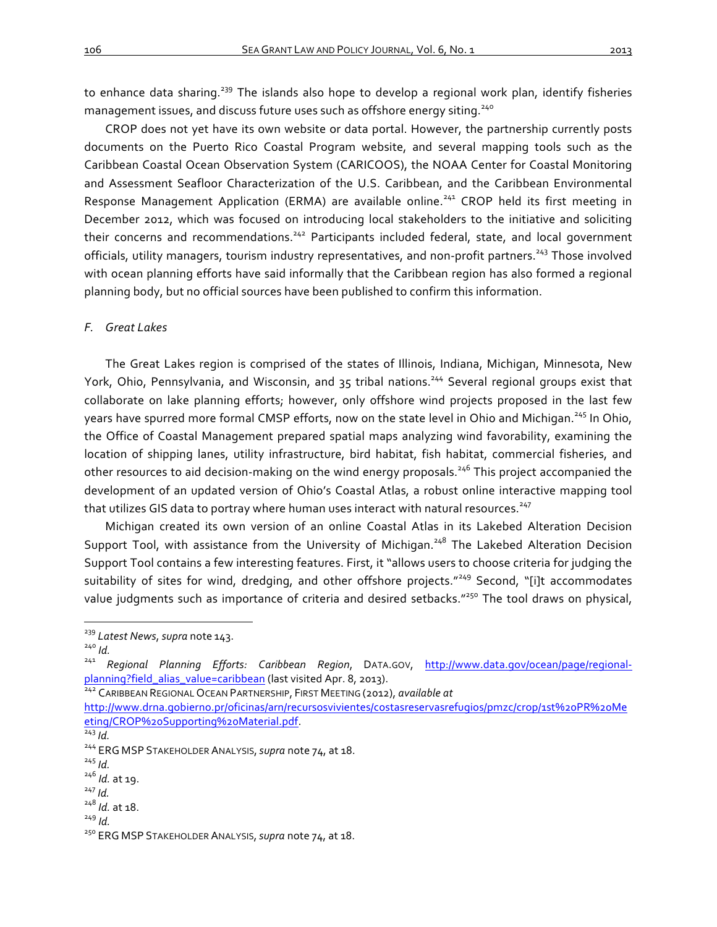to enhance data sharing.<sup>239</sup> The islands also hope to develop a regional work plan, identify fisheries management issues, and discuss future uses such as offshore energy siting.<sup>240</sup>

CROP does not yet have its own website or data portal. However, the partnership currently posts documents on the Puerto Rico Coastal Program website, and several mapping tools such as the Caribbean Coastal Ocean Observation System (CARICOOS), the NOAA Center for Coastal Monitoring and Assessment Seafloor Characterization of the U.S. Caribbean, and the Caribbean Environmental Response Management Application (ERMA) are available online.<sup>241</sup> CROP held its first meeting in December 2012, which was focused on introducing local stakeholders to the initiative and soliciting their concerns and recommendations.<sup>242</sup> Participants included federal, state, and local government officials, utility managers, tourism industry representatives, and non-profit partners.<sup>243</sup> Those involved with ocean planning efforts have said informally that the Caribbean region has also formed a regional planning body, but no official sources have been published to confirm this information.

# *F. Great Lakes*

The Great Lakes region is comprised of the states of Illinois, Indiana, Michigan, Minnesota, New York, Ohio, Pennsylvania, and Wisconsin, and 35 tribal nations.<sup>244</sup> Several regional groups exist that collaborate on lake planning efforts; however, only offshore wind projects proposed in the last few years have spurred more formal CMSP efforts, now on the state level in Ohio and Michigan.<sup>245</sup> In Ohio, the Office of Coastal Management prepared spatial maps analyzing wind favorability, examining the location of shipping lanes, utility infrastructure, bird habitat, fish habitat, commercial fisheries, and other resources to aid decision-making on the wind energy proposals.<sup>246</sup> This project accompanied the development of an updated version of Ohio's Coastal Atlas, a robust online interactive mapping tool that utilizes GIS data to portray where human uses interact with natural resources.<sup>247</sup>

Michigan created its own version of an online Coastal Atlas in its Lakebed Alteration Decision Support Tool, with assistance from the University of Michigan.<sup>248</sup> The Lakebed Alteration Decision Support Tool contains a few interesting features. First, it "allows users to choose criteria for judging the suitability of sites for wind, dredging, and other offshore projects."<sup>249</sup> Second, "[i]t accommodates value judgments such as importance of criteria and desired setbacks."<sup>250</sup> The tool draws on physical,

- 
- 

<sup>&</sup>lt;sup>239</sup> Latest News, supra note 143.<br><sup>240</sup> *Id.* 241 *Regional Planning Efforts: Caribbean Region*, DATA.GOV, <u>http://www.data.gov/ocean/page/regional-</u><br>planning?field\_alias\_value=caribbean (last visited Apr. 8, 2013).

planning<br><sup>242</sup> Caribbean Regional Ocean Partnership, FIRST Meeting (2012), *available at* 

http://www.drna.gobierno.pr/oficinas/arn/recursosvivientes/costasreservasrefugios/pmzc/crop/1st%20PR%20Me eting/CROP%20Supporting%20Material.pdf.<br><sup>243</sup> *Id.* 244 ERG MSP STAKEHOLDER ANALYSIS, *supra* note 74, at 18.

 $^{246}$  *Id.* at 19.<br> $^{247}$  *Id.*<br> $^{248}$  *Id.* at 18.

<sup>&</sup>lt;sup>249</sup> *Id.*<br><sup>250</sup> ERG MSP STAKEHOLDER ANALYSIS, *supra* note 74, at 18.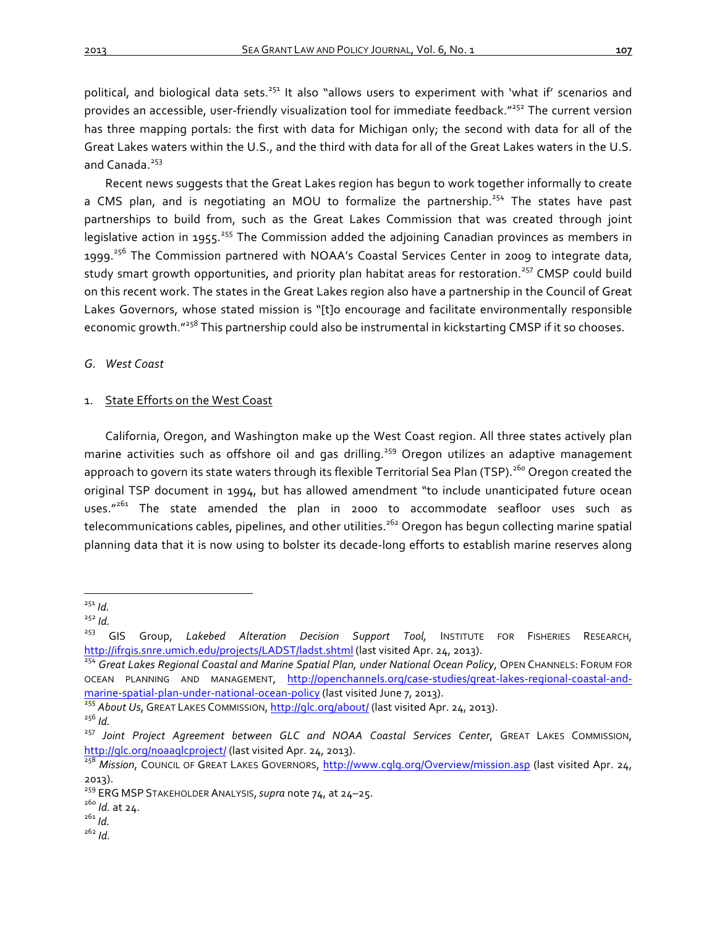political, and biological data sets.<sup>251</sup> It also "allows users to experiment with 'what if' scenarios and provides an accessible, user-friendly visualization tool for immediate feedback."<sup>252</sup> The current version has three mapping portals: the first with data for Michigan only; the second with data for all of the Great Lakes waters within the U.S., and the third with data for all of the Great Lakes waters in the U.S. and Canada.<sup>253</sup>

Recent news suggests that the Great Lakes region has begun to work together informally to create a CMS plan, and is negotiating an MOU to formalize the partnership.<sup>254</sup> The states have past partnerships to build from, such as the Great Lakes Commission that was created through joint legislative action in 1955.<sup>255</sup> The Commission added the adjoining Canadian provinces as members in 1999.<sup>256</sup> The Commission partnered with NOAA's Coastal Services Center in 2009 to integrate data, study smart growth opportunities, and priority plan habitat areas for restoration.<sup>257</sup> CMSP could build on this recent work. The states in the Great Lakes region also have a partnership in the Council of Great Lakes Governors, whose stated mission is "[t]o encourage and facilitate environmentally responsible economic growth."<sup>258</sup> This partnership could also be instrumental in kickstarting CMSP if it so chooses.

# *G. West Coast*

# 1. State Efforts on the West Coast

California, Oregon, and Washington make up the West Coast region. All three states actively plan marine activities such as offshore oil and gas drilling.<sup>259</sup> Oregon utilizes an adaptive management approach to govern its state waters through its flexible Territorial Sea Plan (TSP).<sup>260</sup> Oregon created the original TSP document in 1994, but has allowed amendment "to include unanticipated future ocean uses. $n^{261}$  The state amended the plan in 2000 to accommodate seafloor uses such as telecommunications cables, pipelines, and other utilities.<sup>262</sup> Oregon has begun collecting marine spatial planning data that it is now using to bolster its decade-long efforts to establish marine reserves along

<sup>&</sup>lt;sup>251</sup> Id.<br><sup>252</sup> Id.<br><sup>253</sup> GIS Group, Lakebed Alteration Decision Support Tool, INSTITUTE FOR FISHERIES RESEARCH, http://ifrgis.snre.umich.edu/projects/LADST/ladst.shtml (last visited Apr. 24, 2013).<br><sup>254</sup> Great Lakes Regional Coastal and Marine Spatial Plan, under National Ocean Policy, OPEN CHANNELS: FORUM FOR

OCEAN PLANNING AND MANAGEMENT, http://openchannels.org/case-studies/great-lakes-regional-coastal-andmarine-spatial-plan-under-national-ocean-policy (last visited June 7, 2013).<br><sup>255</sup> About Us, GREAT LAKES COMMISSION, <u>http://glc.org/about/</u> (last visited Apr. 24, 2013).

<sup>&</sup>lt;sup>256</sup> Id.<br><sup>257</sup> Joint Project Agreement between GLC and NOAA Coastal Services Center, GREAT LAKES COMMISSION, http://qlc.org/noaaglcproject/ (last visited Apr. 24, 2013).

<sup>&</sup>lt;sup>258</sup> Mission, COUNCIL OF GREAT LAKES GOVERNORS, http://www.cglg.org/Overview/mission.asp (last visited Apr. 24, 2013).

<sup>&</sup>lt;sup>259</sup> ERG MSP STAKEHOLDER ANALYSIS, *supra* note 74, at 24–25.<br><sup>260</sup> *Id.* at 24.<br><sup>261</sup> *Id.* <sup>262</sup> *Id*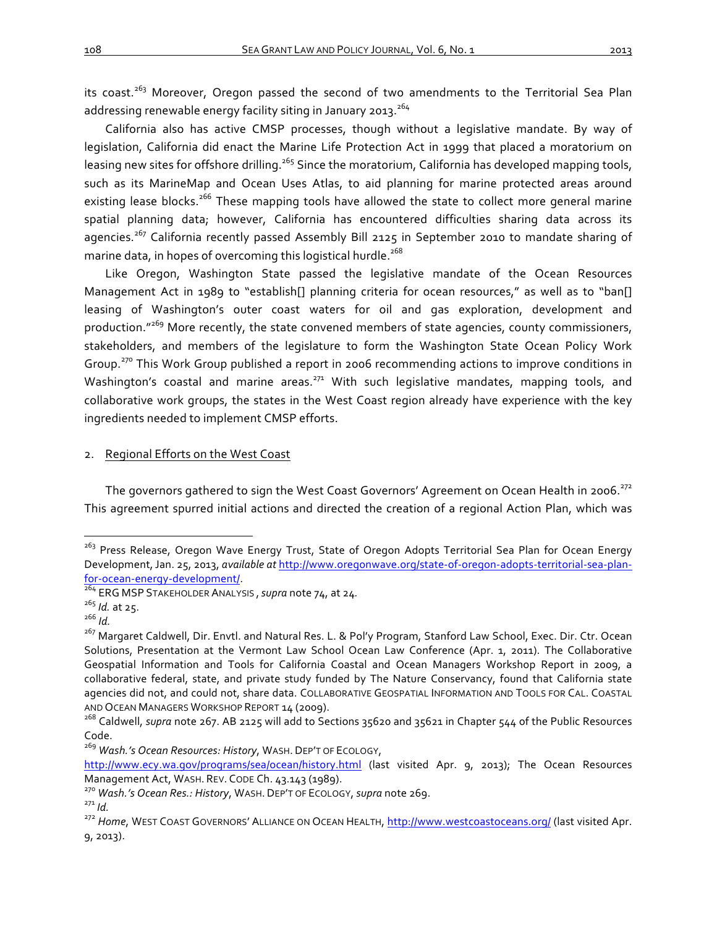its coast.<sup>263</sup> Moreover, Oregon passed the second of two amendments to the Territorial Sea Plan addressing renewable energy facility siting in January 2013.<sup>264</sup>

California also has active CMSP processes, though without a legislative mandate. By way of legislation, California did enact the Marine Life Protection Act in 1999 that placed a moratorium on leasing new sites for offshore drilling.<sup>265</sup> Since the moratorium, California has developed mapping tools, such as its MarineMap and Ocean Uses Atlas, to aid planning for marine protected areas around existing lease blocks.<sup>266</sup> These mapping tools have allowed the state to collect more general marine spatial planning data; however, California has encountered difficulties sharing data across its agencies.<sup>267</sup> California recently passed Assembly Bill 2125 in September 2010 to mandate sharing of marine data, in hopes of overcoming this logistical hurdle.<sup>268</sup>

Like Oregon, Washington State passed the legislative mandate of the Ocean Resources Management Act in 1989 to "establish[] planning criteria for ocean resources," as well as to "ban[] leasing of Washington's outer coast waters for oil and gas exploration, development and production."<sup>269</sup> More recently, the state convened members of state agencies, county commissioners, stakeholders, and members of the legislature to form the Washington State Ocean Policy Work Group.<sup>270</sup> This Work Group published a report in 2006 recommending actions to improve conditions in Washington's coastal and marine areas.<sup>271</sup> With such legislative mandates, mapping tools, and collaborative work groups, the states in the West Coast region already have experience with the key ingredients needed to implement CMSP efforts.

# 2. Regional Efforts on the West Coast

The governors gathered to sign the West Coast Governors' Agreement on Ocean Health in 2006.<sup>272</sup> This agreement spurred initial actions and directed the creation of a regional Action Plan, which was

<sup>&</sup>lt;sup>263</sup> Press Release, Oregon Wave Energy Trust, State of Oregon Adopts Territorial Sea Plan for Ocean Energy Development, Jan. 25, 2013, *available at http://www.oregonwave.org/state-of-oregon-adopts-territorial-sea-plan*for-ocean-energy-development/.<br><sup>264</sup> ERG MSP STAKEHOLDER ANALYSIS , *supra* note 74, at 24.<br><sup>265</sup> *Id.* at 25.

<sup>&</sup>lt;sup>267</sup> Margaret Caldwell, Dir. Envtl. and Natural Res. L. & Pol'y Program, Stanford Law School, Exec. Dir. Ctr. Ocean Solutions, Presentation at the Vermont Law School Ocean Law Conference (Apr. 1, 2011). The Collaborative Geospatial Information and Tools for California Coastal and Ocean Managers Workshop Report in 2009, a collaborative federal, state, and private study funded by The Nature Conservancy, found that California state agencies did not, and could not, share data. COLLABORATIVE GEOSPATIAL INFORMATION AND TOOLS FOR CAL. COASTAL AND OCEAN MANAGERS WORKSHOP REPORT 14 (2009).<br><sup>268</sup> Caldwell, *supra* note 267. AB 2125 will add to Sections 35620 and 35621 in Chapter 544 of the Public Resources

Code.

<sup>&</sup>lt;sup>269</sup> Wash.'s Ocean Resources: History, WASH. DEP'T OF ECOLOGY,

http://www.ecy.wa.gov/programs/sea/ocean/history.html (last visited Apr. 9, 2013); The Ocean Resources Management Act, WASH. REV. CODE Ch. 43.143 (1989).<br><sup>270</sup> Wash.'s Ocean Res.: History, WASH. DEP'T OF ECOLOGY, supra note 269.<br><sup>271</sup> Id.<br><sup>272</sup> Home, WEST COAST GOVERNORS' ALLIANCE ON OCEAN HEALTH, http://www.westcoastoceans

<sup>9, 2013).</sup>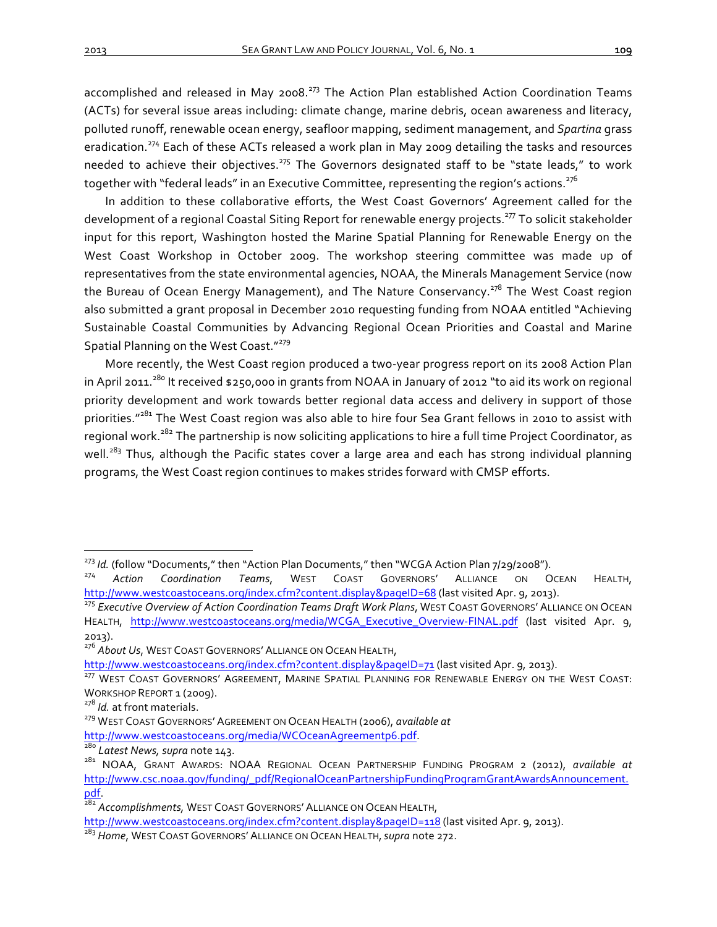accomplished and released in May 2008.<sup>273</sup> The Action Plan established Action Coordination Teams (ACTs) for several issue areas including: climate change, marine debris, ocean awareness and literacy, polluted runoff, renewable ocean energy, seafloor mapping, sediment management, and Spartina grass eradication.<sup>274</sup> Each of these ACTs released a work plan in May 2009 detailing the tasks and resources needed to achieve their objectives.<sup>275</sup> The Governors designated staff to be "state leads," to work together with "federal leads" in an Executive Committee, representing the region's actions.<sup>276</sup>

In addition to these collaborative efforts, the West Coast Governors' Agreement called for the development of a regional Coastal Siting Report for renewable energy projects.<sup>277</sup> To solicit stakeholder input for this report, Washington hosted the Marine Spatial Planning for Renewable Energy on the West Coast Workshop in October 2009. The workshop steering committee was made up of representatives from the state environmental agencies, NOAA, the Minerals Management Service (now the Bureau of Ocean Energy Management), and The Nature Conservancy.<sup>278</sup> The West Coast region also submitted a grant proposal in December 2010 requesting funding from NOAA entitled "Achieving Sustainable Coastal Communities by Advancing Regional Ocean Priorities and Coastal and Marine Spatial Planning on the West Coast."<sup>279</sup>

More recently, the West Coast region produced a two-year progress report on its 2008 Action Plan in April 2011.<sup>280</sup> It received  $$250,000$  in grants from NOAA in January of 2012 "to aid its work on regional priority development and work towards better regional data access and delivery in support of those priorities."<sup>281</sup> The West Coast region was also able to hire four Sea Grant fellows in 2010 to assist with regional work.<sup>282</sup> The partnership is now soliciting applications to hire a full time Project Coordinator, as well.<sup>283</sup> Thus, although the Pacific states cover a large area and each has strong individual planning programs, the West Coast region continues to makes strides forward with CMSP efforts.

<sup>&</sup>lt;sup>273</sup> *Id.* (follow "Documents," then "Action Plan Documents," then "WCGA Action Plan 7/29/2008").<br><sup>274</sup> Action Coordination Teams, WEST COAST GOVERNORS' ALLIANCE ON OCEAN HEALTH, http://www.westcoastoceans.org/index.cfm?content.display&pageID=68 (last visited Apr. 9, 2013).<br><sup>275</sup> *Executive Overview of Action Coordination Teams Draft Work Plans*, WEST COAST GOVERNORS' ALLIANCE ON OCEAN

HEALTH, http://www.westcoastoceans.org/media/WCGA Executive Overview-FINAL.pdf (last visited Apr. 9, 2013).

<sup>&</sup>lt;sup>276</sup> About Us, WEST COAST GOVERNORS' ALLIANCE ON OCEAN HEALTH,

http://www.westcoastoceans.org/index.cfm?content.display&pageID=71 (last visited Apr. 9, 2013).<br><sup>277</sup> WEST COAST GOVERNORS' AGREEMENT, MARINE SPATIAL PLANNING FOR RENEWABLE ENERGY ON THE WEST COAST:

WORKSHOP REPORT 1 (2009).

<sup>&</sup>lt;sup>278</sup> *Id.* at front materials.<br><sup>279</sup> WEST COAST GOVERNORS' AGREEMENT ON OCEAN HEALTH (2006), *available at*<br>http://www.westcoastoceans.org/media/WCOceanAgreementp6.pdf.<br><sup>280</sup> Latest News, supra note 143.

<sup>&</sup>lt;sup>281</sup> NOAA, GRANT AWARDS: NOAA REGIONAL OCEAN PARTNERSHIP FUNDING PROGRAM 2 (2012), *available at* http://www.csc.noaa.gov/funding/\_pdf/RegionalOceanPartnershipFundingProgramGrantAwardsAnnouncement. pdf.<br><sup>282</sup> Accomplishments, WEST COAST GOVERNORS' ALLIANCE ON OCEAN HEALTH,

http://www.westcoastoceans.org/index.cfm?content.display&pageID=118 (last visited Apr. 9, 2013).

<sup>&</sup>lt;sup>283</sup> Home, WEST COAST GOVERNORS' ALLIANCE ON OCEAN HEALTH, *supra* note 272.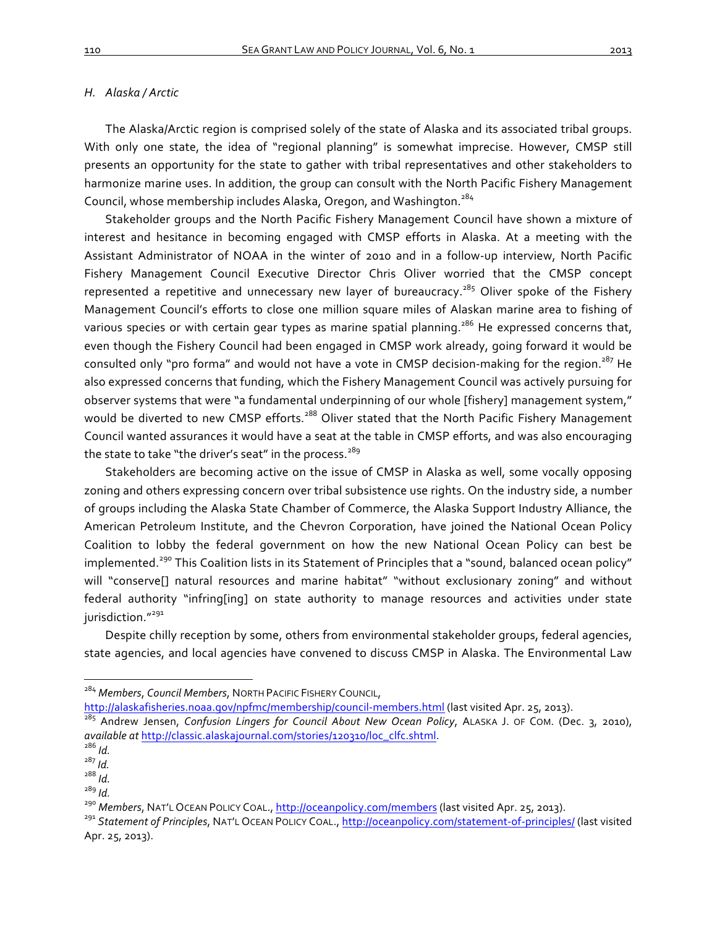# *H. Alaska / Arctic*

The Alaska/Arctic region is comprised solely of the state of Alaska and its associated tribal groups. With only one state, the idea of "regional planning" is somewhat imprecise. However, CMSP still presents an opportunity for the state to gather with tribal representatives and other stakeholders to harmonize marine uses. In addition, the group can consult with the North Pacific Fishery Management Council, whose membership includes Alaska, Oregon, and Washington.<sup>284</sup>

Stakeholder groups and the North Pacific Fishery Management Council have shown a mixture of interest and hesitance in becoming engaged with CMSP efforts in Alaska. At a meeting with the Assistant Administrator of NOAA in the winter of 2010 and in a follow-up interview, North Pacific Fishery Management Council Executive Director Chris Oliver worried that the CMSP concept represented a repetitive and unnecessary new layer of bureaucracy.<sup>285</sup> Oliver spoke of the Fishery Management Council's efforts to close one million square miles of Alaskan marine area to fishing of various species or with certain gear types as marine spatial planning.<sup>286</sup> He expressed concerns that, even though the Fishery Council had been engaged in CMSP work already, going forward it would be consulted only "pro forma" and would not have a vote in CMSP decision-making for the region.<sup>287</sup> He also expressed concerns that funding, which the Fishery Management Council was actively pursuing for observer systems that were "a fundamental underpinning of our whole [fishery] management system," would be diverted to new CMSP efforts.<sup>288</sup> Oliver stated that the North Pacific Fishery Management Council wanted assurances it would have a seat at the table in CMSP efforts, and was also encouraging the state to take "the driver's seat" in the process.<sup>289</sup>

Stakeholders are becoming active on the issue of CMSP in Alaska as well, some vocally opposing zoning and others expressing concern over tribal subsistence use rights. On the industry side, a number of groups including the Alaska State Chamber of Commerce, the Alaska Support Industry Alliance, the American Petroleum Institute, and the Chevron Corporation, have joined the National Ocean Policy Coalition to lobby the federal government on how the new National Ocean Policy can best be implemented.<sup>290</sup> This Coalition lists in its Statement of Principles that a "sound, balanced ocean policy" will "conserve[] natural resources and marine habitat" "without exclusionary zoning" and without federal authority "infring[ing] on state authority to manage resources and activities under state jurisdiction."<sup>291</sup>

Despite chilly reception by some, others from environmental stakeholder groups, federal agencies, state agencies, and local agencies have convened to discuss CMSP in Alaska. The Environmental Law

<sup>&</sup>lt;sup>284</sup> Members, Council Members, NORTH PACIFIC FISHERY COUNCIL,

http://alaskafisheries.noaa.gov/npfmc/membership/council-members.html (last visited Apr. 25, 2013).

<sup>&</sup>lt;sup>285</sup> Andrew Jensen, *Confusion Lingers for Council About New Ocean Policy*, ALASKA J. OF COM. (Dec. 3, 2010), *available at* http://classic.alaskajournal.com/stories/120310/loc\_clfc.shtml. <sup>286</sup> *Id.*

<sup>287</sup> *Id.* 288 *Id.*

<sup>&</sup>lt;sup>290</sup> Members, NAT'L OCEAN POLICY COAL., <u>http://oceanpolicy.com/members</u> (last visited Apr. 25, 2013).<br><sup>291</sup> Statement of Principles, NAT'L OcEAN POLICY COAL., <u>http://oceanpolicy.com/statement-of-principles/</u> (last visit Apr. 25, 2013).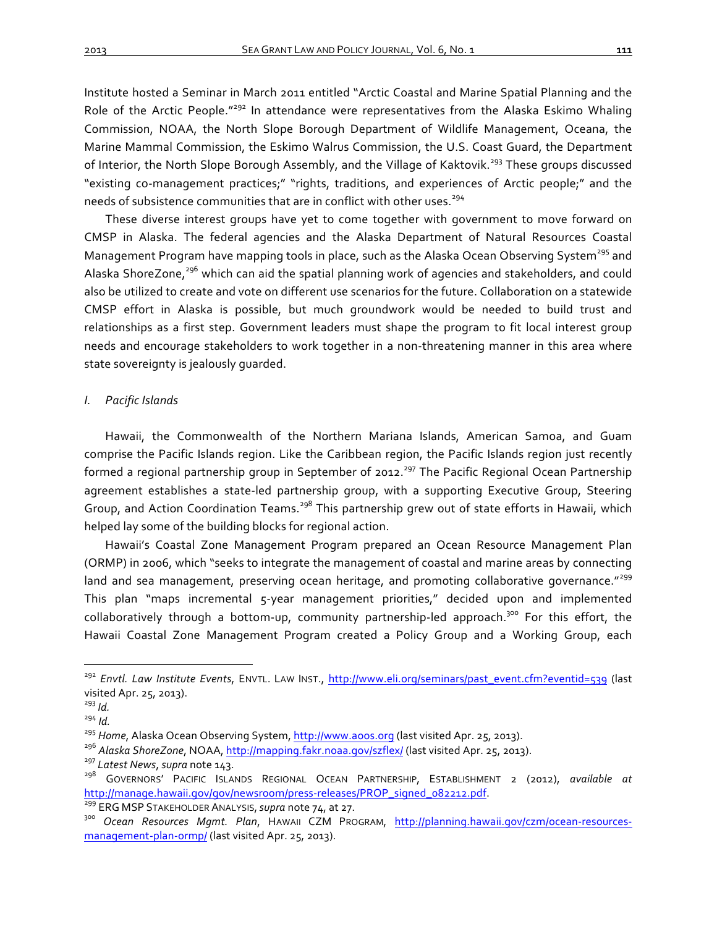Institute hosted a Seminar in March 2011 entitled "Arctic Coastal and Marine Spatial Planning and the Role of the Arctic People." $^{292}$  In attendance were representatives from the Alaska Eskimo Whaling Commission, NOAA, the North Slope Borough Department of Wildlife Management, Oceana, the Marine Mammal Commission, the Eskimo Walrus Commission, the U.S. Coast Guard, the Department of Interior, the North Slope Borough Assembly, and the Village of Kaktovik.<sup>293</sup> These groups discussed "existing co-management practices;" "rights, traditions, and experiences of Arctic people;" and the needs of subsistence communities that are in conflict with other uses.<sup>294</sup>

These diverse interest groups have yet to come together with government to move forward on CMSP in Alaska. The federal agencies and the Alaska Department of Natural Resources Coastal Management Program have mapping tools in place, such as the Alaska Ocean Observing System<sup>295</sup> and Alaska ShoreZone,<sup>296</sup> which can aid the spatial planning work of agencies and stakeholders, and could also be utilized to create and vote on different use scenarios for the future. Collaboration on a statewide CMSP effort in Alaska is possible, but much groundwork would be needed to build trust and relationships as a first step. Government leaders must shape the program to fit local interest group needs and encourage stakeholders to work together in a non-threatening manner in this area where state sovereignty is jealously quarded.

# *I. Pacific Islands*

Hawaii, the Commonwealth of the Northern Mariana Islands, American Samoa, and Guam comprise the Pacific Islands region. Like the Caribbean region, the Pacific Islands region just recently formed a regional partnership group in September of 2012.<sup>297</sup> The Pacific Regional Ocean Partnership agreement establishes a state-led partnership group, with a supporting Executive Group, Steering Group, and Action Coordination Teams.<sup>298</sup> This partnership grew out of state efforts in Hawaii, which helped lay some of the building blocks for regional action.

Hawaii's Coastal Zone Management Program prepared an Ocean Resource Management Plan (ORMP) in 2006, which "seeks to integrate the management of coastal and marine areas by connecting land and sea management, preserving ocean heritage, and promoting collaborative governance."<sup>299</sup> This plan "maps incremental 5-year management priorities," decided upon and implemented collaboratively through a bottom-up, community partnership-led approach.<sup>300</sup> For this effort, the Hawaii Coastal Zone Management Program created a Policy Group and a Working Group, each

<sup>&</sup>lt;sup>292</sup> *Envtl. Law Institute Events*, ENVTL. LAW INST., http://www.eli.org/seminars/past\_event.cfm?eventid=539 (last visited Apr. 25, 2013).

<sup>&</sup>lt;sup>293</sup> Id.<br><sup>294</sup> Id.<br><sup>295</sup> Home, Alaska Ocean Observing System, <u>http://www.aoos.org</u> (last visited Apr. 25, 2013).

<sup>&</sup>lt;sup>296</sup> Alaska ShoreZone, NOAA, <u>http://mapping.fakr.noaa.gov/szflex/</u> (last visited Apr. 25, 2013).<br><sup>297</sup> Latest News, supra note 143.

<sup>&</sup>lt;sup>298</sup> GOVERNORS' PACIFIC ISLANDS REGIONAL OCEAN PARTNERSHIP, ESTABLISHMENT 2 (2012), *available at* http://manage.hawaii.gov/gov/newsroom/press-releases/PROP\_signed\_082212.pdf.<br><sup>299</sup> ERG MSP STAKEHOLDER ANALYSIS, supra note 74, at 27.<br><sup>300</sup> Ocean Resources Mgmt. Plan, HAWAII CZM PROGRAM, <u>http://planning.hawaii.gov/czm/o</u>

management-plan-ormp/ (last visited Apr. 25, 2013).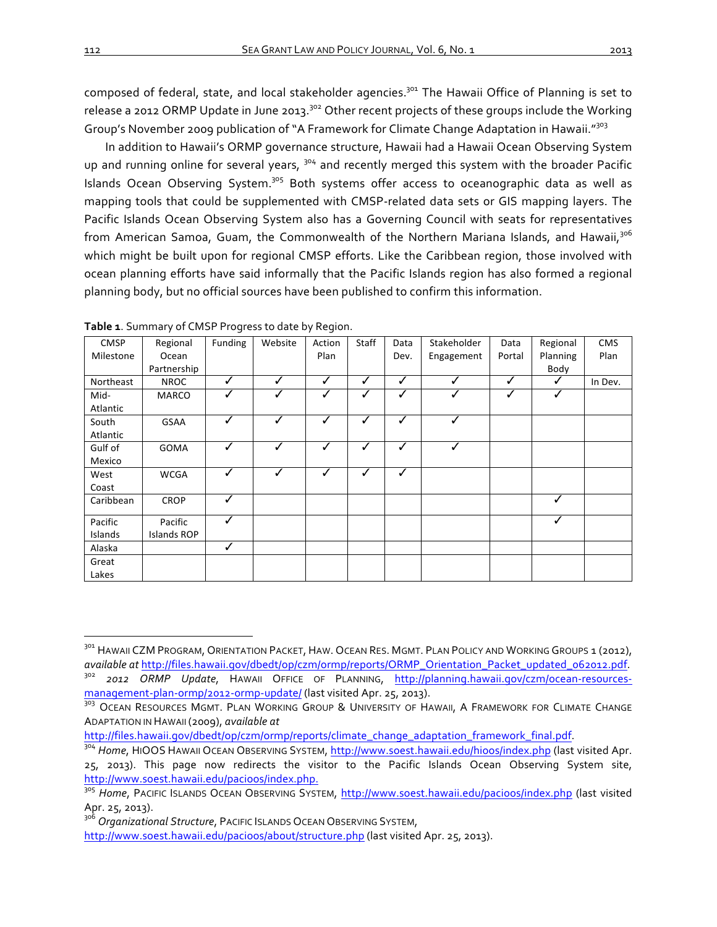composed of federal, state, and local stakeholder agencies.<sup>301</sup> The Hawaii Office of Planning is set to release a 2012 ORMP Update in June 2013.<sup>302</sup> Other recent projects of these groups include the Working Group's November 2009 publication of "A Framework for Climate Change Adaptation in Hawaii."<sup>303</sup>

In addition to Hawaii's ORMP governance structure, Hawaii had a Hawaii Ocean Observing System up and running online for several years, <sup>304</sup> and recently merged this system with the broader Pacific Islands Ocean Observing System.<sup>305</sup> Both systems offer access to oceanographic data as well as mapping tools that could be supplemented with CMSP-related data sets or GIS mapping layers. The Pacific Islands Ocean Observing System also has a Governing Council with seats for representatives from American Samoa, Guam, the Commonwealth of the Northern Mariana Islands, and Hawaii,<sup>306</sup> which might be built upon for regional CMSP efforts. Like the Caribbean region, those involved with ocean planning efforts have said informally that the Pacific Islands region has also formed a regional planning body, but no official sources have been published to confirm this information.

| <b>CMSP</b> | Regional           | Funding | Website | Action | Staff | Data | Stakeholder | Data   | Regional | <b>CMS</b> |
|-------------|--------------------|---------|---------|--------|-------|------|-------------|--------|----------|------------|
| Milestone   | Ocean              |         |         | Plan   |       | Dev. | Engagement  | Portal | Planning | Plan       |
|             | Partnership        |         |         |        |       |      |             |        | Body     |            |
| Northeast   | <b>NROC</b>        | ✓       | ✓       | ✓      | ✓     | ✓    | ✓           | ✓      | ✓        | In Dev.    |
| Mid-        | MARCO              | ✓       | ✓       | ✓      | ✓     | ✓    | ✓           | ✓      | ✓        |            |
| Atlantic    |                    |         |         |        |       |      |             |        |          |            |
| South       | <b>GSAA</b>        | ✓       | ✓       | ✓      | ✓     | ✓    | ✓           |        |          |            |
| Atlantic    |                    |         |         |        |       |      |             |        |          |            |
| Gulf of     | GOMA               | ✓       | ✓       | ✓      | ✓     | ✓    | ✓           |        |          |            |
| Mexico      |                    |         |         |        |       |      |             |        |          |            |
| West        | <b>WCGA</b>        | ✓       | ✓       | ✓      | ✓     | ✓    |             |        |          |            |
| Coast       |                    |         |         |        |       |      |             |        |          |            |
| Caribbean   | <b>CROP</b>        | ✓       |         |        |       |      |             |        | ✓        |            |
|             |                    |         |         |        |       |      |             |        |          |            |
| Pacific     | Pacific            | ✓       |         |        |       |      |             |        | ✓        |            |
| Islands     | <b>Islands ROP</b> |         |         |        |       |      |             |        |          |            |
| Alaska      |                    | ✓       |         |        |       |      |             |        |          |            |
| Great       |                    |         |         |        |       |      |             |        |          |            |
| Lakes       |                    |         |         |        |       |      |             |        |          |            |

Table 1. Summary of CMSP Progress to date by Region.

<sup>&</sup>lt;sup>301</sup> HAWAII CZM PROGRAM, ORIENTATION PACKET, HAW. OCEAN RES. MGMT. PLAN POLICY AND WORKING GROUPS 1 (2012), *available at http://files.hawaii.gov/dbedt/op/czm/ormp/reports/ORMP\_Orientation\_Packet\_updated\_062012.pdf.* 302<br><sup>302</sup> 2012 *ORMP Update*, HAWAII OFFICE OF PLANNING, http://planning.hawaii.gov/czm/ocean-resourcesmanagement-plan-ormp/2012-ormp-update/ (last visited Apr. 25, 2013).<br><sup>303</sup> OCEAN RESOURCES MGMT. PLAN WORKING GROUP & UNIVERSITY OF HAWAII, A FRAMEWORK FOR CLIMATE CHANGE

ADAPTATION IN HAWAII (2009), *available at* 

http://files.hawaii.gov/dbedt/op/czm/ormp/reports/climate\_change\_adaptation\_framework\_final.pdf.<br><sup>304</sup> Home, HIOOS HAWAII OCEAN OBSERVING SYSTEM, http://www.soest.hawaii.edu/hioos/index.php (last visited Apr.

<sup>25, 2013).</sup> This page now redirects the visitor to the Pacific Islands Ocean Observing System site, http://www.soest.hawaii.edu/pacioos/index.php.<br><sup>305</sup> Home, PACIFIC ISLANDS OCEAN OBSERVING SYSTEM, http://www.soest.hawaii.edu/pacioos/index.php (last visited

Apr. 25, 2013).

<sup>&</sup>lt;sup>306</sup> *Organizational Structure*, PACIFIC ISLANDS OCEAN OBSERVING SYSTEM,

http://www.soest.hawaii.edu/pacioos/about/structure.php (last visited Apr. 25, 2013).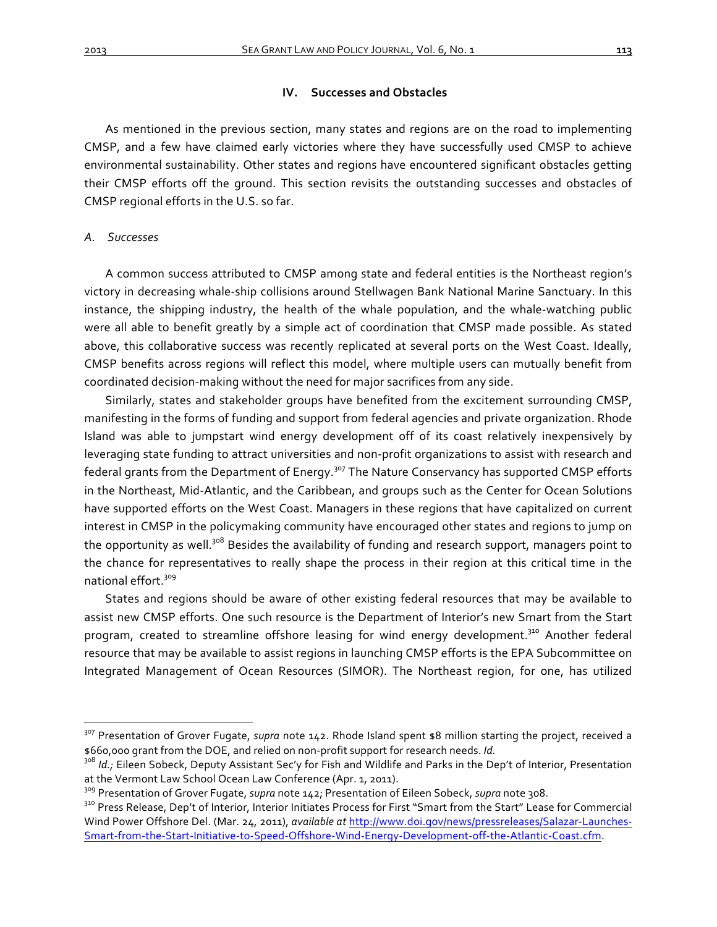# **IV.** Successes and Obstacles

As mentioned in the previous section, many states and regions are on the road to implementing CMSP, and a few have claimed early victories where they have successfully used CMSP to achieve environmental sustainability. Other states and regions have encountered significant obstacles getting their CMSP efforts off the ground. This section revisits the outstanding successes and obstacles of CMSP regional efforts in the U.S. so far.

#### *A. Successes*

A common success attributed to CMSP among state and federal entities is the Northeast region's victory in decreasing whale-ship collisions around Stellwagen Bank National Marine Sanctuary. In this instance, the shipping industry, the health of the whale population, and the whale-watching public were all able to benefit greatly by a simple act of coordination that CMSP made possible. As stated above, this collaborative success was recently replicated at several ports on the West Coast. Ideally, CMSP benefits across regions will reflect this model, where multiple users can mutually benefit from coordinated decision-making without the need for major sacrifices from any side.

Similarly, states and stakeholder groups have benefited from the excitement surrounding CMSP, manifesting in the forms of funding and support from federal agencies and private organization. Rhode Island was able to jumpstart wind energy development off of its coast relatively inexpensively by leveraging state funding to attract universities and non-profit organizations to assist with research and federal grants from the Department of Energy.<sup>307</sup> The Nature Conservancy has supported CMSP efforts in the Northeast, Mid-Atlantic, and the Caribbean, and groups such as the Center for Ocean Solutions have supported efforts on the West Coast. Managers in these regions that have capitalized on current interest in CMSP in the policymaking community have encouraged other states and regions to jump on the opportunity as well.<sup>308</sup> Besides the availability of funding and research support, managers point to the chance for representatives to really shape the process in their region at this critical time in the national effort.<sup>309</sup>

States and regions should be aware of other existing federal resources that may be available to assist new CMSP efforts. One such resource is the Department of Interior's new Smart from the Start program, created to streamline offshore leasing for wind energy development.<sup>310</sup> Another federal resource that may be available to assist regions in launching CMSP efforts is the EPA Subcommittee on Integrated Management of Ocean Resources (SIMOR). The Northeast region, for one, has utilized

<sup>&</sup>lt;sup>307</sup> Presentation of Grover Fugate, *supra* note 142. Rhode Island spent \$8 million starting the project, received a \$660,000 grant from the DOE, and relied on non-profit support for research needs. *Id.* 

<sup>&</sup>lt;sup>308</sup> Id.; Eileen Sobeck, Deputy Assistant Sec'y for Fish and Wildlife and Parks in the Dep't of Interior, Presentation at the Vermont Law School Ocean Law Conference (Apr. 1, 2011).

<sup>&</sup>lt;sup>309</sup> Presentation of Grover Fugate, *supra* note 142; Presentation of Eileen Sobeck, *supra* note 308.<br><sup>310</sup> Press Release, Dep't of Interior, Interior Initiates Process for First "Smart from the Start" Lease for Commerci Wind Power Offshore Del. (Mar. 24, 2011), *available at http://www.doi.gov/news/pressreleases/Salazar-Launches-*Smart-from-the-Start-Initiative-to-Speed-Offshore-Wind-Energy-Development-off-the-Atlantic-Coast.cfm.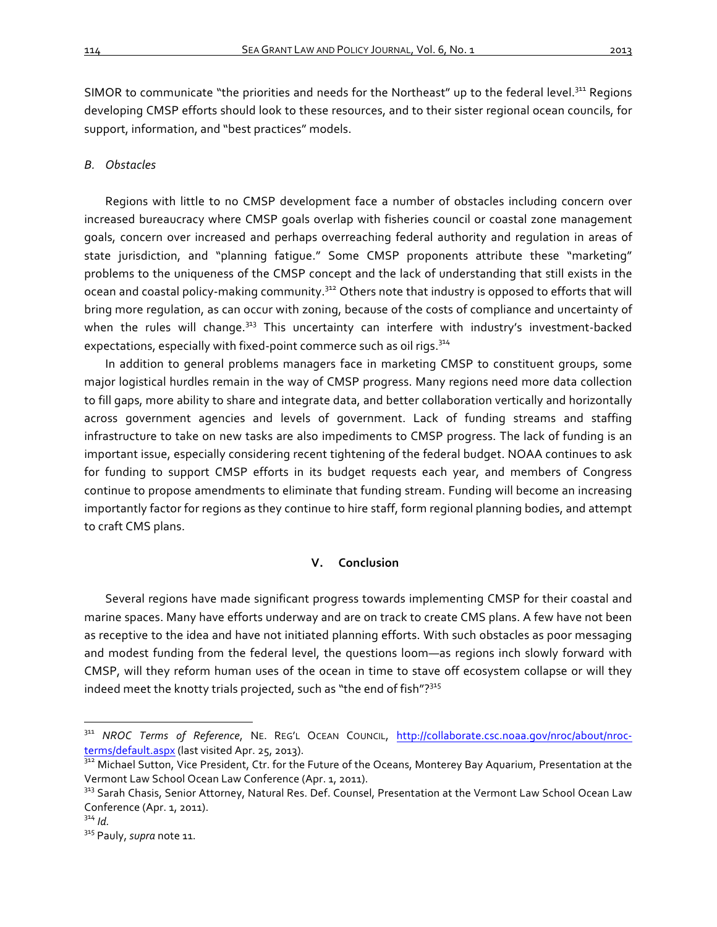SIMOR to communicate "the priorities and needs for the Northeast" up to the federal level.<sup>311</sup> Regions developing CMSP efforts should look to these resources, and to their sister regional ocean councils, for support, information, and "best practices" models.

#### *B. Obstacles*

Regions with little to no CMSP development face a number of obstacles including concern over increased bureaucracy where CMSP goals overlap with fisheries council or coastal zone management goals, concern over increased and perhaps overreaching federal authority and regulation in areas of state jurisdiction, and "planning fatigue." Some CMSP proponents attribute these "marketing" problems to the uniqueness of the CMSP concept and the lack of understanding that still exists in the ocean and coastal policy-making community.<sup>312</sup> Others note that industry is opposed to efforts that will bring more regulation, as can occur with zoning, because of the costs of compliance and uncertainty of when the rules will change.<sup>313</sup> This uncertainty can interfere with industry's investment-backed expectations, especially with fixed-point commerce such as oil rigs.<sup>314</sup>

In addition to general problems managers face in marketing CMSP to constituent groups, some major logistical hurdles remain in the way of CMSP progress. Many regions need more data collection to fill gaps, more ability to share and integrate data, and better collaboration vertically and horizontally across government agencies and levels of government. Lack of funding streams and staffing infrastructure to take on new tasks are also impediments to CMSP progress. The lack of funding is an important issue, especially considering recent tightening of the federal budget. NOAA continues to ask for funding to support CMSP efforts in its budget requests each year, and members of Congress continue to propose amendments to eliminate that funding stream. Funding will become an increasing importantly factor for regions as they continue to hire staff, form regional planning bodies, and attempt to craft CMS plans.

# **V. Conclusion**

Several regions have made significant progress towards implementing CMSP for their coastal and marine spaces. Many have efforts underway and are on track to create CMS plans. A few have not been as receptive to the idea and have not initiated planning efforts. With such obstacles as poor messaging and modest funding from the federal level, the questions loom—as regions inch slowly forward with CMSP, will they reform human uses of the ocean in time to stave off ecosystem collapse or will they indeed meet the knotty trials projected, such as "the end of fish"? $315$ 

<sup>311</sup> *NROC Terms of Reference*, NE. REG'L OCEAN COUNCIL, http://collaborate.csc.noaa.gov/nroc/about/nrocterms/default.aspx (last visited Apr. 25, 2013).<br><sup>312</sup> Michael Sutton, Vice President, Ctr. for the Future of the Oceans, Monterey Bay Aquarium, Presentation at the

Vermont Law School Ocean Law Conference (Apr. 1, 2011).

<sup>313</sup> Sarah Chasis, Senior Attorney, Natural Res. Def. Counsel, Presentation at the Vermont Law School Ocean Law Conference (Apr. 1, 2011).<br> $3^{34}$  Id.

<sup>&</sup>lt;sup>315</sup> Pauly, *supra* note 11.